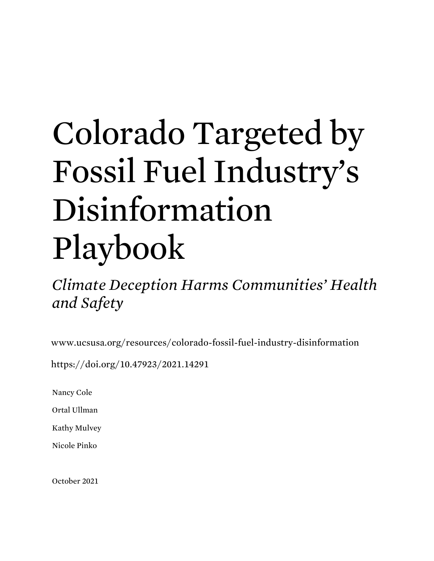# Colorado Targeted by Fossil Fuel Industry's Disinformation Playbook

*Climate Deception Harms Communities' Health and Safety*

www.ucsusa.org/resources/colorado-fossil-fuel-industry-disinformation

https://doi.org/10.47923/2021.14291

Nancy Cole

Ortal Ullman

Kathy Mulvey

Nicole Pinko

October 2021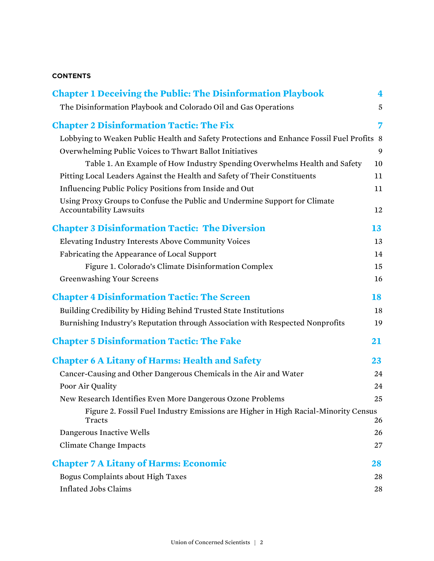#### **CONTENTS**

| <b>Chapter 1 Deceiving the Public: The Disinformation Playbook</b>                                           | 4  |  |  |  |
|--------------------------------------------------------------------------------------------------------------|----|--|--|--|
| The Disinformation Playbook and Colorado Oil and Gas Operations                                              | 5  |  |  |  |
| <b>Chapter 2 Disinformation Tactic: The Fix</b>                                                              | 7  |  |  |  |
| Lobbying to Weaken Public Health and Safety Protections and Enhance Fossil Fuel Profits 8                    |    |  |  |  |
| Overwhelming Public Voices to Thwart Ballot Initiatives                                                      | 9  |  |  |  |
| Table 1. An Example of How Industry Spending Overwhelms Health and Safety                                    | 10 |  |  |  |
| Pitting Local Leaders Against the Health and Safety of Their Constituents                                    | 11 |  |  |  |
| Influencing Public Policy Positions from Inside and Out                                                      | 11 |  |  |  |
| Using Proxy Groups to Confuse the Public and Undermine Support for Climate<br><b>Accountability Lawsuits</b> | 12 |  |  |  |
| <b>Chapter 3 Disinformation Tactic: The Diversion</b>                                                        | 13 |  |  |  |
| Elevating Industry Interests Above Community Voices                                                          |    |  |  |  |
| Fabricating the Appearance of Local Support                                                                  | 14 |  |  |  |
| Figure 1. Colorado's Climate Disinformation Complex                                                          | 15 |  |  |  |
| <b>Greenwashing Your Screens</b>                                                                             | 16 |  |  |  |
| <b>Chapter 4 Disinformation Tactic: The Screen</b>                                                           | 18 |  |  |  |
| Building Credibility by Hiding Behind Trusted State Institutions                                             | 18 |  |  |  |
| Burnishing Industry's Reputation through Association with Respected Nonprofits                               | 19 |  |  |  |
| <b>Chapter 5 Disinformation Tactic: The Fake</b>                                                             | 21 |  |  |  |
| <b>Chapter 6 A Litany of Harms: Health and Safety</b>                                                        | 23 |  |  |  |
| Cancer-Causing and Other Dangerous Chemicals in the Air and Water                                            | 24 |  |  |  |
| Poor Air Quality                                                                                             | 24 |  |  |  |
| New Research Identifies Even More Dangerous Ozone Problems                                                   | 25 |  |  |  |
| Figure 2. Fossil Fuel Industry Emissions are Higher in High Racial-Minority Census<br>Tracts                 | 26 |  |  |  |
| Dangerous Inactive Wells                                                                                     | 26 |  |  |  |
| <b>Climate Change Impacts</b>                                                                                | 27 |  |  |  |
| <b>Chapter 7 A Litany of Harms: Economic</b>                                                                 | 28 |  |  |  |
| <b>Bogus Complaints about High Taxes</b>                                                                     | 28 |  |  |  |
| <b>Inflated Jobs Claims</b>                                                                                  | 28 |  |  |  |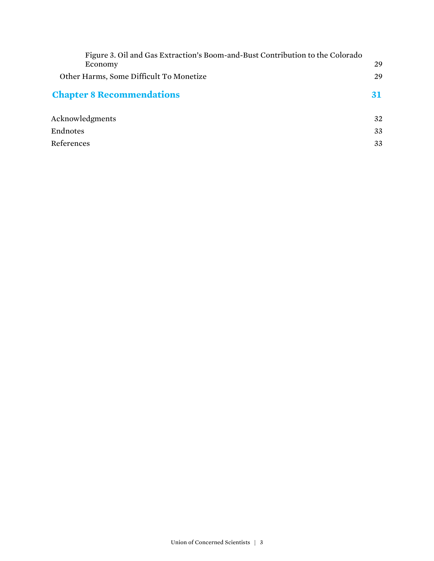| Figure 3. Oil and Gas Extraction's Boom-and-Bust Contribution to the Colorado<br>Economy | 29 |
|------------------------------------------------------------------------------------------|----|
| Other Harms, Some Difficult To Monetize                                                  | 29 |
| <b>Chapter 8 Recommendations</b>                                                         | 31 |
| Acknowledgments                                                                          | 32 |
| Endnotes                                                                                 | 33 |
| References                                                                               | 33 |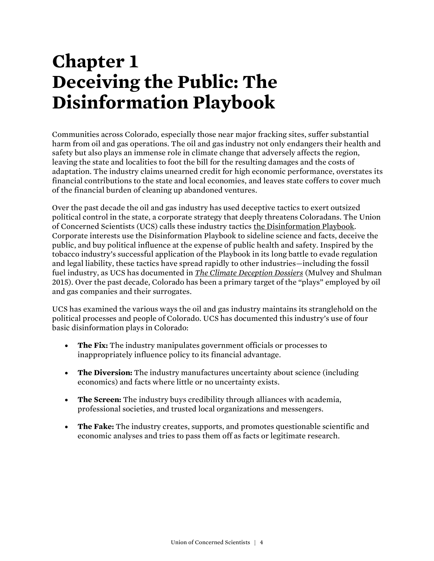# **Chapter 1 Deceiving the Public: The Disinformation Playbook**

Communities across Colorado, especially those near major fracking sites, suffer substantial harm from oil and gas operations. The oil and gas industry not only endangers their health and safety but also plays an immense role in climate change that adversely affects the region, leaving the state and localities to foot the bill for the resulting damages and the costs of adaptation. The industry claims unearned credit for high economic performance, overstates its financial contributions to the state and local economies, and leaves state coffers to cover much of the financial burden of cleaning up abandoned ventures.

Over the past decade the oil and gas industry has used deceptive tactics to exert outsized political control in the state, a corporate strategy that deeply threatens Coloradans. The Union of Concerned Scientists (UCS) calls these industry tactic[s the Disinformation Playbook.](https://www.ucsusa.org/resources/disinformation-playbook) Corporate interests use the Disinformation Playbook to sideline science and facts, deceive the public, and buy political influence at the expense of public health and safety. Inspired by the tobacco industry's successful application of the Playbook in its long battle to evade regulation and legal liability, these tactics have spread rapidly to other industries—including the fossil fuel industry, as UCS has documented in *[The Climate Deception Dossiers](https://www.ucsusa.org/resources/climate-deception-dossiers)* (Mulvey and Shulman 2015). Over the past decade, Colorado has been a primary target of the "plays" employed by oil and gas companies and their surrogates.

UCS has examined the various ways the oil and gas industry maintains its stranglehold on the political processes and people of Colorado. UCS has documented this industry's use of four basic disinformation plays in Colorado:

- **The Fix:** The industry manipulates government officials or processes to inappropriately influence policy to its financial advantage.
- **The Diversion:** The industry manufactures uncertainty about science (including economics) and facts where little or no uncertainty exists.
- **The Screen:** The industry buys credibility through alliances with academia, professional societies, and trusted local organizations and messengers.
- **The Fake:** The industry creates, supports, and promotes questionable scientific and economic analyses and tries to pass them off as facts or legitimate research.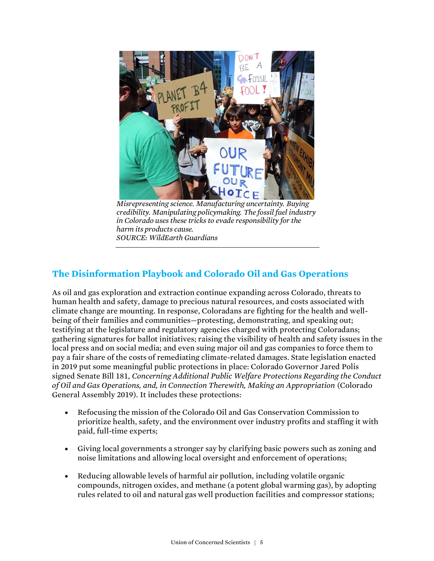

*Misrepresenting science. Manufacturing uncertainty. Buying credibility. Manipulating policymaking. The fossil fuel industry in Colorado uses these tricks to evade responsibility for the harm its products cause. SOURCE: WildEarth Guardians*

### **The Disinformation Playbook and Colorado Oil and Gas Operations**

As oil and gas exploration and extraction continue expanding across Colorado, threats to human health and safety, damage to precious natural resources, and costs associated with climate change are mounting. In response, Coloradans are fighting for the health and wellbeing of their families and communities—protesting, demonstrating, and speaking out; testifying at the legislature and regulatory agencies charged with protecting Coloradans; gathering signatures for ballot initiatives; raising the visibility of health and safety issues in the local press and on social media; and even suing major oil and gas companies to force them to pay a fair share of the costs of remediating climate-related damages. State legislation enacted in 2019 put some meaningful public protections in place: Colorado Governor Jared Polis signed Senate Bill 181, *Concerning Additional Public Welfare Protections Regarding the Conduct of Oil and Gas Operations, and, in Connection Therewith, Making an Appropriation* (Colorado General Assembly 2019). It includes these protections:

- Refocusing the mission of the Colorado Oil and Gas Conservation Commission to prioritize health, safety, and the environment over industry profits and staffing it with paid, full-time experts;
- Giving local governments a stronger say by clarifying basic powers such as zoning and noise limitations and allowing local oversight and enforcement of operations;
- Reducing allowable levels of harmful air pollution, including volatile organic compounds, nitrogen oxides, and methane (a potent global warming gas), by adopting rules related to oil and natural gas well production facilities and compressor stations;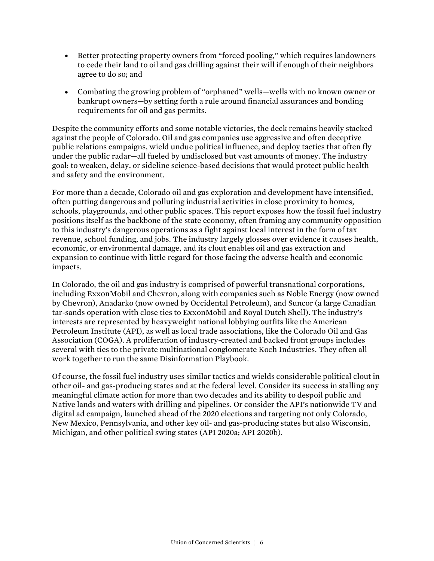- Better protecting property owners from "forced pooling," which requires landowners to cede their land to oil and gas drilling against their will if enough of their neighbors agree to do so; and
- Combating the growing problem of "orphaned" wells—wells with no known owner or bankrupt owners—by setting forth a rule around financial assurances and bonding requirements for oil and gas permits.

Despite the community efforts and some notable victories, the deck remains heavily stacked against the people of Colorado. Oil and gas companies use aggressive and often deceptive public relations campaigns, wield undue political influence, and deploy tactics that often fly under the public radar—all fueled by undisclosed but vast amounts of money. The industry goal: to weaken, delay, or sideline science-based decisions that would protect public health and safety and the environment.

For more than a decade, Colorado oil and gas exploration and development have intensified, often putting dangerous and polluting industrial activities in close proximity to homes, schools, playgrounds, and other public spaces. This report exposes how the fossil fuel industry positions itself as the backbone of the state economy, often framing any community opposition to this industry's dangerous operations as a fight against local interest in the form of tax revenue, school funding, and jobs. The industry largely glosses over evidence it causes health, economic, or environmental damage, and its clout enables oil and gas extraction and expansion to continue with little regard for those facing the adverse health and economic impacts.

In Colorado, the oil and gas industry is comprised of powerful transnational corporations, including ExxonMobil and Chevron, along with companies such as Noble Energy (now owned by Chevron), Anadarko (now owned by Occidental Petroleum), and Suncor (a large Canadian tar-sands operation with close ties to ExxonMobil and Royal Dutch Shell). The industry's interests are represented by heavyweight national lobbying outfits like the American Petroleum Institute (API), as well as local trade associations, like the Colorado Oil and Gas Association (COGA). A proliferation of industry-created and backed front groups includes several with ties to the private multinational conglomerate Koch Industries. They often all work together to run the same Disinformation Playbook.

Of course, the fossil fuel industry uses similar tactics and wields considerable political clout in other oil- and gas-producing states and at the federal level. Consider its success in stalling any meaningful climate action for more than two decades and its ability to despoil public and Native lands and waters with drilling and pipelines. Or consider the API's nationwide TV and digital ad campaign, launched ahead of the 2020 elections and targeting not only Colorado, New Mexico, Pennsylvania, and other key oil- and gas-producing states but also Wisconsin, Michigan, and other political swing states (API 2020a; API 2020b).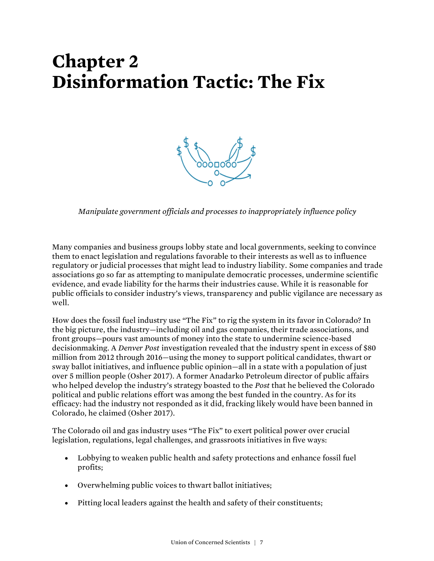# **Chapter 2 Disinformation Tactic: The Fix**



*Manipulate government officials and processes to inappropriately influence policy*

Many companies and business groups lobby state and local governments, seeking to convince them to enact legislation and regulations favorable to their interests as well as to influence regulatory or judicial processes that might lead to industry liability. Some companies and trade associations go so far as attempting to manipulate democratic processes, undermine scientific evidence, and evade liability for the harms their industries cause. While it is reasonable for public officials to consider industry's views, transparency and public vigilance are necessary as well.

How does the fossil fuel industry use "The Fix" to rig the system in its favor in Colorado? In the big picture, the industry—including oil and gas companies, their trade associations, and front groups—pours vast amounts of money into the state to undermine science-based decisionmaking. A *Denver Post* investigation revealed that the industry spent in excess of \$80 million from 2012 through 2016—using the money to support political candidates, thwart or sway ballot initiatives, and influence public opinion—all in a state with a population of just over 5 million people (Osher 2017). A former Anadarko Petroleum director of public affairs who helped develop the industry's strategy boasted to the *Post* that he believed the Colorado political and public relations effort was among the best funded in the country. As for its efficacy: had the industry not responded as it did, fracking likely would have been banned in Colorado, he claimed (Osher 2017).

The Colorado oil and gas industry uses "The Fix" to exert political power over crucial legislation, regulations, legal challenges, and grassroots initiatives in five ways:

- Lobbying to weaken public health and safety protections and enhance fossil fuel profits;
- Overwhelming public voices to thwart ballot initiatives;
- Pitting local leaders against the health and safety of their constituents;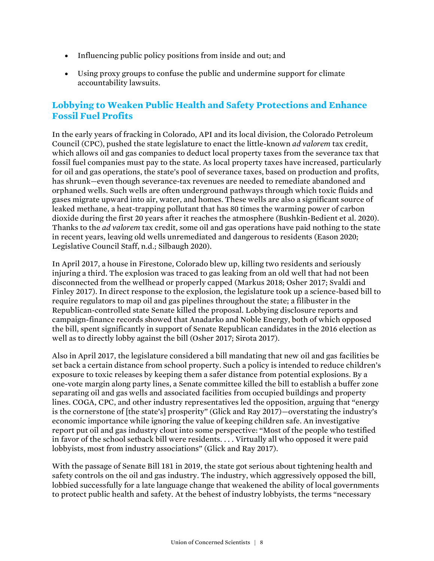- Influencing public policy positions from inside and out; and
- Using proxy groups to confuse the public and undermine support for climate accountability lawsuits.

#### **Lobbying to Weaken Public Health and Safety Protections and Enhance Fossil Fuel Profits**

In the early years of fracking in Colorado, API and its local division, the Colorado Petroleum Council (CPC), pushed the state legislature to enact the little-known *ad valorem* tax credit, which allows oil and gas companies to deduct local property taxes from the severance tax that fossil fuel companies must pay to the state. As local property taxes have increased, particularly for oil and gas operations, the state's pool of severance taxes, based on production and profits, has shrunk—even though severance-tax revenues are needed to remediate abandoned and orphaned wells. Such wells are often underground pathways through which toxic fluids and gases migrate upward into air, water, and homes. These wells are also a significant source of leaked methane, a heat-trapping pollutant that has 80 times the warming power of carbon dioxide during the first 20 years after it reaches the atmosphere (Bushkin-Bedient et al. 2020). Thanks to the *ad valorem* tax credit, some oil and gas operations have paid nothing to the state in recent years, leaving old wells unremediated and dangerous to residents (Eason 2020; Legislative Council Staff, n.d.; Silbaugh 2020).

In April 2017, a house in Firestone, Colorado blew up, killing two residents and seriously injuring a third. The explosion was traced to gas leaking from an old well that had not been disconnected from the wellhead or properly capped (Markus 2018; Osher 2017; Svaldi and Finley 2017). In direct response to the explosion, the legislature took up a science-based bill to require regulators to map oil and gas pipelines throughout the state; a filibuster in the Republican-controlled state Senate killed the proposal. Lobbying disclosure reports and campaign-finance records showed that Anadarko and Noble Energy, both of which opposed the bill, spent significantly in support of Senate Republican candidates in the 2016 election as well as to directly lobby against the bill (Osher 2017; Sirota 2017).

Also in April 2017, the legislature considered a bill mandating that new oil and gas facilities be set back a certain distance from school property. Such a policy is intended to reduce children's exposure to toxic releases by keeping them a safer distance from potential explosions. By a one-vote margin along party lines, a Senate committee killed the bill to establish a buffer zone separating oil and gas wells and associated facilities from occupied buildings and property lines. COGA, CPC, and other industry representatives led the opposition, arguing that "energy is the cornerstone of [the state's] prosperity" (Glick and Ray 2017)—overstating the industry's economic importance while ignoring the value of keeping children safe. An investigative report put oil and gas industry clout into some perspective: "Most of the people who testified in favor of the school setback bill were residents. . . . Virtually all who opposed it were paid lobbyists, most from industry associations" (Glick and Ray 2017).

With the passage of Senate Bill 181 in 2019, the state got serious about tightening health and safety controls on the oil and gas industry. The industry, which aggressively opposed the bill, lobbied successfully for a late language change that weakened the ability of local governments to protect public health and safety. At the behest of industry lobbyists, the terms "necessary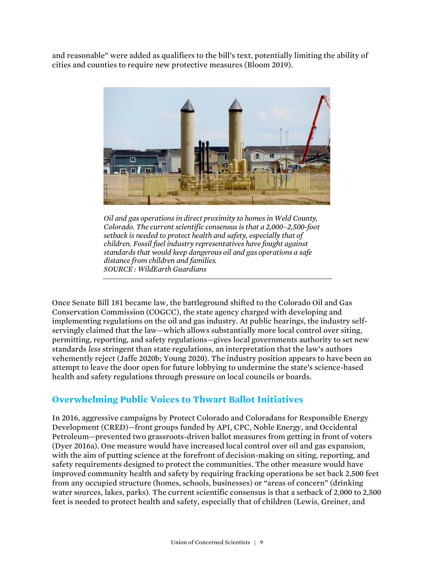and reasonable" were added as qualifiers to the bill's text, potentially limiting the ability of cities and counties to require new protective measures (Bloom 2019).



*Oil and gas operations in direct proximity to homes in Weld County, Colorado. The current scientific consensus is that a 2,000–2,500-foot setback is needed to protect health and safety, especially that of children. Fossil fuel industry representatives have fought against standards that would keep dangerous oil and gas operations a safe distance from children and families. SOURCE : WildEarth Guardians*

Once Senate Bill 181 became law, the battleground shifted to the Colorado Oil and Gas Conservation Commission (COGCC), the state agency charged with developing and implementing regulations on the oil and gas industry. At public hearings, the industry selfservingly claimed that the law—which allows substantially more local control over siting, permitting, reporting, and safety regulations—gives local governments authority to set new standards *less* stringent than state regulations, an interpretation that the law's authors vehemently reject (Jaffe 2020b; Young 2020). The industry position appears to have been an attempt to leave the door open for future lobbying to undermine the state's science-based health and safety regulations through pressure on local councils or boards.

#### **Overwhelming Public Voices to Thwart Ballot Initiatives**

In 2016, aggressive campaigns by Protect Colorado and Coloradans for Responsible Energy Development (CRED)—front groups funded by API, CPC, Noble Energy, and Occidental Petroleum—prevented two grassroots-driven ballot measures from getting in front of voters (Dyer 2016a). One measure would have increased local control over oil and gas expansion, with the aim of putting science at the forefront of decision-making on siting, reporting, and safety requirements designed to protect the communities. The other measure would have improved community health and safety by requiring fracking operations be set back 2,500 feet from any occupied structure (homes, schools, businesses) or "areas of concern" (drinking water sources, lakes, parks). The current scientific consensus is that a setback of 2,000 to 2,500 feet is needed to protect health and safety, especially that of children (Lewis, Greiner, and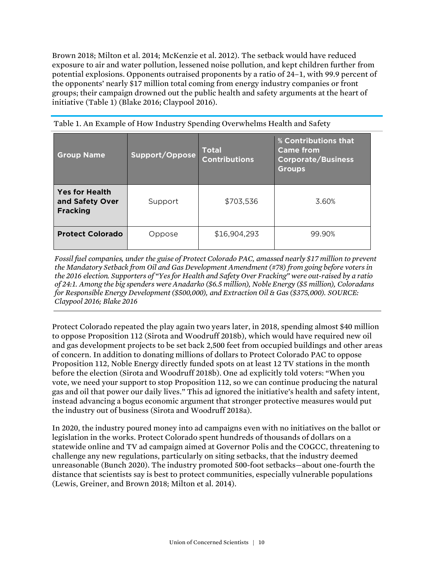Brown 2018; Milton et al. 2014; McKenzie et al. 2012). The setback would have reduced exposure to air and water pollution, lessened noise pollution, and kept children further from potential explosions. Opponents outraised proponents by a ratio of 24–1, with 99.9 percent of the opponents' nearly \$17 million total coming from energy industry companies or front groups; their campaign drowned out the public health and safety arguments at the heart of initiative (Table 1) (Blake 2016; Claypool 2016).

| <b>Group Name</b>                                           | Support/Oppose | <b>Total</b><br><b>Contributions</b> | % Contributions that<br><b>Came from</b><br><b>Corporate/Business</b><br><b>Groups</b> |
|-------------------------------------------------------------|----------------|--------------------------------------|----------------------------------------------------------------------------------------|
| <b>Yes for Health</b><br>and Safety Over<br><b>Fracking</b> | Support        | \$703,536                            | 3.60%                                                                                  |
| <b>Protect Colorado</b>                                     | Oppose         | \$16,904,293                         | 99.90%                                                                                 |

Table 1. An Example of How Industry Spending Overwhelms Health and Safety

*Fossil fuel companies, under the guise of Protect Colorado PAC, amassed nearly \$17 million to prevent the Mandatory Setback from Oil and Gas Development Amendment (#78) from going before voters in the 2016 election. Supporters of "Yes for Health and Safety Over Fracking" were out-raised by a ratio of 24:1. Among the big spenders were Anadarko (\$6.5 million), Noble Energy (\$5 million), Coloradans for Responsible Energy Development (\$500,000), and Extraction Oil & Gas (\$375,000). SOURCE: Claypool 2016; Blake 2016*

Protect Colorado repeated the play again two years later, in 2018, spending almost \$40 million to oppose Proposition 112 (Sirota and Woodruff 2018b), which would have required new oil and gas development projects to be set back 2,500 feet from occupied buildings and other areas of concern. In addition to donating millions of dollars to Protect Colorado PAC to oppose Proposition 112, Noble Energy directly funded spots on at least 12 TV stations in the month before the election (Sirota and Woodruff 2018b). One ad explicitly told voters: "When you vote, we need your support to stop Proposition 112, so we can continue producing the natural gas and oil that power our daily lives." This ad ignored the initiative's health and safety intent, instead advancing a bogus economic argument that stronger protective measures would put the industry out of business (Sirota and Woodruff 2018a).

In 2020, the industry poured money into ad campaigns even with no initiatives on the ballot or legislation in the works. Protect Colorado spent hundreds of thousands of dollars on a statewide online and TV ad campaign aimed at Governor Polis and the COGCC, threatening to challenge any new regulations, particularly on siting setbacks, that the industry deemed unreasonable (Bunch 2020). The industry promoted 500-foot setbacks—about one-fourth the distance that scientists say is best to protect communities, especially vulnerable populations (Lewis, Greiner, and Brown 2018; Milton et al. 2014).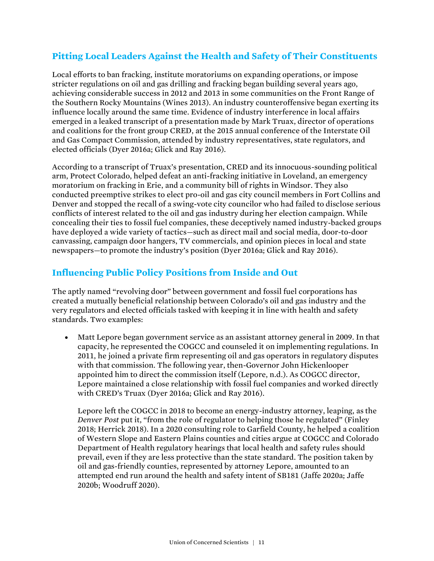### **Pitting Local Leaders Against the Health and Safety of Their Constituents**

Local efforts to ban fracking, institute moratoriums on expanding operations, or impose stricter regulations on oil and gas drilling and fracking began building several years ago, achieving considerable success in 2012 and 2013 in some communities on the Front Range of the Southern Rocky Mountains (Wines 2013). An industry counteroffensive began exerting its influence locally around the same time. Evidence of industry interference in local affairs emerged in a leaked transcript of a presentation made by Mark Truax, director of operations and coalitions for the front group CRED, at the 2015 annual conference of the Interstate Oil and Gas Compact Commission, attended by industry representatives, state regulators, and elected officials (Dyer 2016a; Glick and Ray 2016).

According to a transcript of Truax's presentation, CRED and its innocuous-sounding political arm, Protect Colorado, helped defeat an anti-fracking initiative in Loveland, an emergency moratorium on fracking in Erie, and a community bill of rights in Windsor. They also conducted preemptive strikes to elect pro-oil and gas city council members in Fort Collins and Denver and stopped the recall of a swing-vote city councilor who had failed to disclose serious conflicts of interest related to the oil and gas industry during her election campaign. While concealing their ties to fossil fuel companies, these deceptively named industry-backed groups have deployed a wide variety of tactics—such as direct mail and social media, door-to-door canvassing, campaign door hangers, TV commercials, and opinion pieces in local and state newspapers—to promote the industry's position (Dyer 2016a; Glick and Ray 2016).

#### **Influencing Public Policy Positions from Inside and Out**

The aptly named "revolving door" between government and fossil fuel corporations has created a mutually beneficial relationship between Colorado's oil and gas industry and the very regulators and elected officials tasked with keeping it in line with health and safety standards. Two examples:

• Matt Lepore began government service as an assistant attorney general in 2009. In that capacity, he represented the COGCC and counseled it on implementing regulations. In 2011, he joined a private firm representing oil and gas operators in regulatory disputes with that commission. The following year, then-Governor John Hickenlooper appointed him to direct the commission itself (Lepore, n.d.). As COGCC director, Lepore maintained a close relationship with fossil fuel companies and worked directly with CRED's Truax (Dyer 2016a; Glick and Ray 2016).

Lepore left the COGCC in 2018 to become an energy-industry attorney, leaping, as the *Denver Post* put it, "from the role of regulator to helping those he regulated" (Finley 2018; Herrick 2018). In a 2020 consulting role to Garfield County, he helped a coalition of Western Slope and Eastern Plains counties and cities argue at COGCC and Colorado Department of Health regulatory hearings that local health and safety rules should prevail, even if they are less protective than the state standard. The position taken by oil and gas-friendly counties, represented by attorney Lepore, amounted to an attempted end run around the health and safety intent of SB181 (Jaffe 2020a; Jaffe 2020b; Woodruff 2020).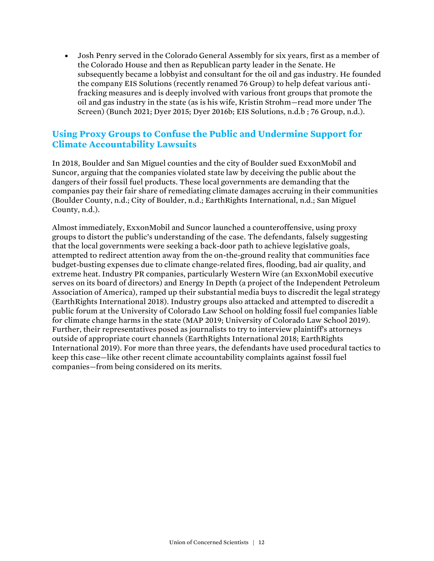• Josh Penry served in the Colorado General Assembly for six years, first as a member of the Colorado House and then as Republican party leader in the Senate. He subsequently became a lobbyist and consultant for the oil and gas industry. He founded the company EIS Solutions (recently renamed 76 Group) to help defeat various antifracking measures and is deeply involved with various front groups that promote the oil and gas industry in the state (as is his wife, Kristin Strohm—read more under The Screen) (Bunch 2021; Dyer 2015; Dyer 2016b; EIS Solutions, n.d.b ; 76 Group, n.d.).

#### **Using Proxy Groups to Confuse the Public and Undermine Support for Climate Accountability Lawsuits**

In 2018, Boulder and San Miguel counties and the city of Boulder sued ExxonMobil and Suncor, arguing that the companies violated state law by deceiving the public about the dangers of their fossil fuel products. These local governments are demanding that the companies pay their fair share of remediating climate damages accruing in their communities (Boulder County, n.d.; City of Boulder, n.d.; EarthRights International, n.d.; San Miguel County, n.d.).

Almost immediately, ExxonMobil and Suncor launched a counteroffensive, using proxy groups to distort the public's understanding of the case. The defendants, falsely suggesting that the local governments were seeking a back-door path to achieve legislative goals, attempted to redirect attention away from the on-the-ground reality that communities face budget-busting expenses due to climate change-related fires, flooding, bad air quality, and extreme heat. Industry PR companies, particularly Western Wire (an ExxonMobil executive serves on its board of directors) and Energy In Depth (a project of the Independent Petroleum Association of America), ramped up their substantial media buys to discredit the legal strategy (EarthRights International 2018). Industry groups also attacked and attempted to discredit a public forum at the University of Colorado Law School on holding fossil fuel companies liable for climate change harms in the state (MAP 2019; University of Colorado Law School 2019). Further, their representatives posed as journalists to try to interview plaintiff's attorneys outside of appropriate court channels (EarthRights International 2018; EarthRights International 2019). For more than three years, the defendants have used procedural tactics to keep this case—like other recent climate accountability complaints against fossil fuel companies—from being considered on its merits.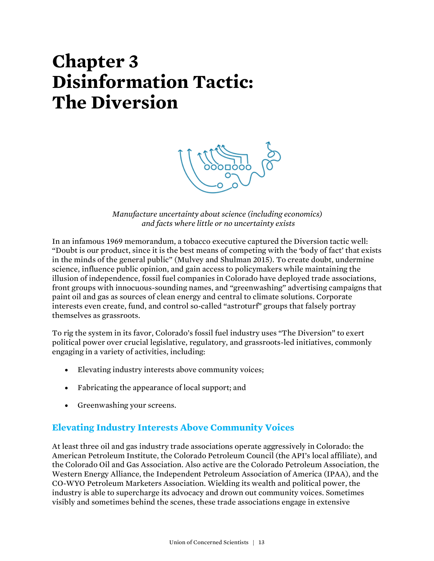# **Chapter 3 Disinformation Tactic: The Diversion**



*Manufacture uncertainty about science (including economics) and facts where little or no uncertainty exists*

In an infamous 1969 memorandum, a tobacco executive captured the Diversion tactic well: "Doubt is our product, since it is the best means of competing with the 'body of fact' that exists in the minds of the general public" (Mulvey and Shulman 2015). To create doubt, undermine science, influence public opinion, and gain access to policymakers while maintaining the illusion of independence, fossil fuel companies in Colorado have deployed trade associations, front groups with innocuous-sounding names, and "greenwashing" advertising campaigns that paint oil and gas as sources of clean energy and central to climate solutions. Corporate interests even create, fund, and control so-called "astroturf" groups that falsely portray themselves as grassroots.

To rig the system in its favor, Colorado's fossil fuel industry uses "The Diversion" to exert political power over crucial legislative, regulatory, and grassroots-led initiatives, commonly engaging in a variety of activities, including:

- Elevating industry interests above community voices;
- Fabricating the appearance of local support; and
- Greenwashing your screens.

### **Elevating Industry Interests Above Community Voices**

At least three oil and gas industry trade associations operate aggressively in Colorado: the American Petroleum Institute, the Colorado Petroleum Council (the API's local affiliate), and the Colorado Oil and Gas Association. Also active are the Colorado Petroleum Association, the Western Energy Alliance, the Independent Petroleum Association of America (IPAA), and the CO-WYO Petroleum Marketers Association. Wielding its wealth and political power, the industry is able to supercharge its advocacy and drown out community voices. Sometimes visibly and sometimes behind the scenes, these trade associations engage in extensive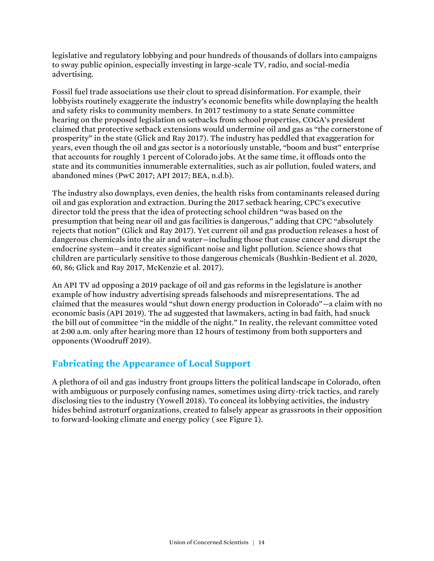legislative and regulatory lobbying and pour hundreds of thousands of dollars into campaigns to sway public opinion, especially investing in large-scale TV, radio, and social-media advertising.

Fossil fuel trade associations use their clout to spread disinformation. For example, their lobbyists routinely exaggerate the industry's economic benefits while downplaying the health and safety risks to community members. In 2017 testimony to a state Senate committee hearing on the proposed legislation on setbacks from school properties, COGA's president claimed that protective setback extensions would undermine oil and gas as "the cornerstone of prosperity" in the state (Glick and Ray 2017). The industry has peddled that exaggeration for years, even though the oil and gas sector is a notoriously unstable, "boom and bust" enterprise that accounts for roughly 1 percent of Colorado jobs. At the same time, it offloads onto the state and its communities innumerable externalities, such as air pollution, fouled waters, and abandoned mines (PwC 2017; API 2017; BEA, n.d.b).

The industry also downplays, even denies, the health risks from contaminants released during oil and gas exploration and extraction. During the 2017 setback hearing, CPC's executive director told the press that the idea of protecting school children "was based on the presumption that being near oil and gas facilities is dangerous," adding that CPC "absolutely rejects that notion" (Glick and Ray 2017). Yet current oil and gas production releases a host of dangerous chemicals into the air and water—including those that cause cancer and disrupt the endocrine system—and it creates significant noise and light pollution. Science shows that children are particularly sensitive to those dangerous chemicals (Bushkin-Bedient et al. 2020, 60, 86; Glick and Ray 2017, McKenzie et al. 2017).

An API TV ad opposing a 2019 package of oil and gas reforms in the legislature is another example of how industry advertising spreads falsehoods and misrepresentations. The ad claimed that the measures would "shut down energy production in Colorado"—a claim with no economic basis (API 2019). The ad suggested that lawmakers, acting in bad faith, had snuck the bill out of committee "in the middle of the night." In reality, the relevant committee voted at 2:00 a.m. only after hearing more than 12 hours of testimony from both supporters and opponents (Woodruff 2019).

### **Fabricating the Appearance of Local Support**

A plethora of oil and gas industry front groups litters the political landscape in Colorado, often with ambiguous or purposely confusing names, sometimes using dirty-trick tactics, and rarely disclosing ties to the industry (Yowell 2018). To conceal its lobbying activities, the industry hides behind astroturf organizations, created to falsely appear as grassroots in their opposition to forward-looking climate and energy policy ( see Figure 1).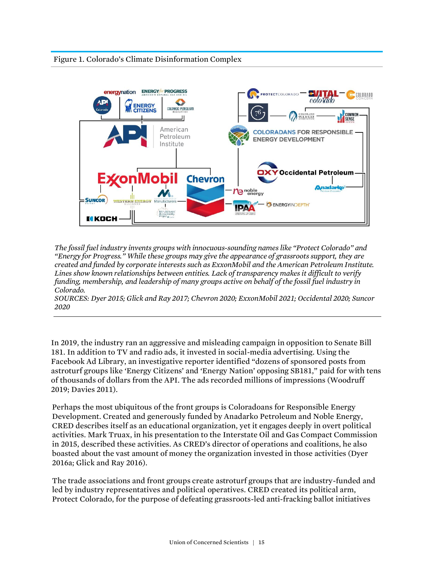

*The fossil fuel industry invents groups with innocuous-sounding names like "Protect Colorado" and "Energy for Progress." While these groups may give the appearance of grassroots support, they are created and funded by corporate interests such as ExxonMobil and the American Petroleum Institute. Lines show known relationships between entities. Lack of transparency makes it difficult to verify funding, membership, and leadership of many groups active on behalf of the fossil fuel industry in Colorado.* 

*SOURCES: Dyer 2015; Glick and Ray 2017; Chevron 2020; ExxonMobil 2021; Occidental 2020; Suncor 2020*

In 2019, the industry ran an aggressive and misleading campaign in opposition to Senate Bill 181. In addition to TV and radio ads, it invested in social-media advertising. Using the Facebook Ad Library, an investigative reporter identified "dozens of sponsored posts from astroturf groups like 'Energy Citizens' and 'Energy Nation' opposing SB181," paid for with tens of thousands of dollars from the API. The ads recorded millions of impressions (Woodruff 2019; Davies 2011).

Perhaps the most ubiquitous of the front groups is Coloradoans for Responsible Energy Development. Created and generously funded by Anadarko Petroleum and Noble Energy, CRED describes itself as an educational organization, yet it engages deeply in overt political activities. Mark Truax, in his presentation to the Interstate Oil and Gas Compact Commission in 2015, described these activities. As CRED's director of operations and coalitions, he also boasted about the vast amount of money the organization invested in those activities (Dyer 2016a; Glick and Ray 2016).

The trade associations and front groups create astroturf groups that are industry-funded and led by industry representatives and political operatives. CRED created its political arm, Protect Colorado, for the purpose of defeating grassroots-led anti-fracking ballot initiatives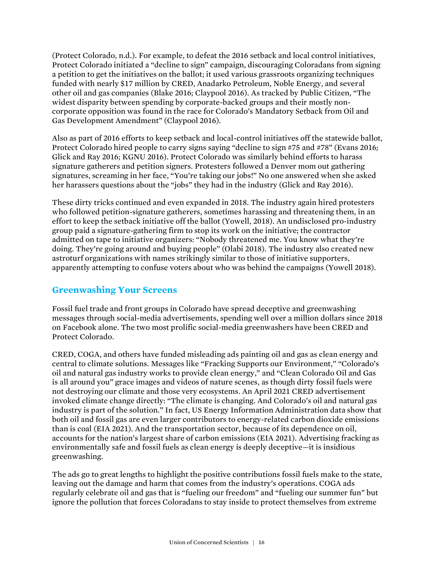(Protect Colorado, n.d.). For example, to defeat the 2016 setback and local control initiatives, Protect Colorado initiated a "decline to sign" campaign, discouraging Coloradans from signing a petition to get the initiatives on the ballot; it used various grassroots organizing techniques funded with nearly \$17 million by CRED, Anadarko Petroleum, Noble Energy, and several other oil and gas companies (Blake 2016; Claypool 2016). As tracked by Public Citizen, "The widest disparity between spending by corporate-backed groups and their mostly noncorporate opposition was found in the race for Colorado's Mandatory Setback from Oil and Gas Development Amendment" (Claypool 2016).

Also as part of 2016 efforts to keep setback and local-control initiatives off the statewide ballot, Protect Colorado hired people to carry signs saying "decline to sign #75 and #78" (Evans 2016; Glick and Ray 2016; KGNU 2016). Protect Colorado was similarly behind efforts to harass signature gatherers and petition signers. Protesters followed a Denver mom out gathering signatures, screaming in her face, "You're taking our jobs!" No one answered when she asked her harassers questions about the "jobs" they had in the industry (Glick and Ray 2016).

These dirty tricks continued and even expanded in 2018. The industry again hired protesters who followed petition-signature gatherers, sometimes harassing and threatening them, in an effort to keep the setback initiative off the ballot (Yowell, 2018). An undisclosed pro-industry group paid a signature-gathering firm to stop its work on the initiative; the contractor admitted on tape to initiative organizers: "Nobody threatened me. You know what they're doing. They're going around and buying people" (Olabi 2018). The industry also created new astroturf organizations with names strikingly similar to those of initiative supporters, apparently attempting to confuse voters about who was behind the campaigns (Yowell 2018).

#### **Greenwashing Your Screens**

Fossil fuel trade and front groups in Colorado have spread deceptive and greenwashing messages through social-media advertisements, spending well over a million dollars since 2018 on Facebook alone. The two most prolific social-media greenwashers have been CRED and Protect Colorado.

CRED, COGA, and others have funded misleading ads painting oil and gas as clean energy and central to climate solutions. Messages like "Fracking Supports our Environment," "Colorado's oil and natural gas industry works to provide clean energy," and "Clean Colorado Oil and Gas is all around you" grace images and videos of nature scenes, as though dirty fossil fuels were not destroying our climate and those very ecosystems. An April 2021 CRED advertisement invoked climate change directly: "The climate is changing. And Colorado's oil and natural gas industry is part of the solution." In fact, US Energy Information Administration data show that both oil and fossil gas are even larger contributors to energy-related carbon dioxide emissions than is coal (EIA 2021). And the transportation sector, because of its dependence on oil, accounts for the nation's largest share of carbon emissions (EIA 2021). Advertising fracking as environmentally safe and fossil fuels as clean energy is deeply deceptive—it is insidious greenwashing.

The ads go to great lengths to highlight the positive contributions fossil fuels make to the state, leaving out the damage and harm that comes from the industry's operations. COGA ads regularly celebrate oil and gas that is "fueling our freedom" and "fueling our summer fun" but ignore the pollution that forces Coloradans to stay inside to protect themselves from extreme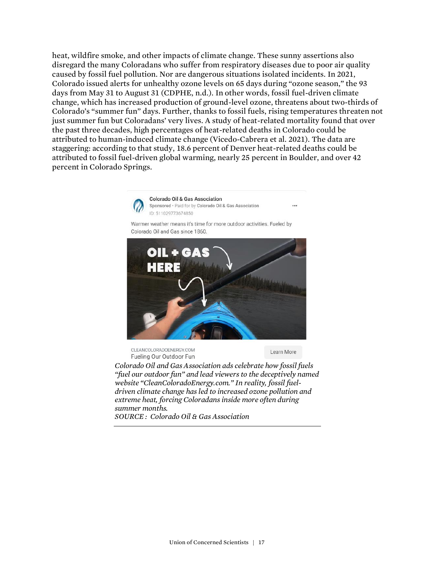heat, wildfire smoke, and other impacts of climate change. These sunny assertions also disregard the many Coloradans who suffer from respiratory diseases due to poor air quality caused by fossil fuel pollution. Nor are dangerous situations isolated incidents. In 2021, Colorado issued alerts for unhealthy ozone levels on 65 days during "ozone season," the 93 days from May 31 to August 31 (CDPHE, n.d.). In other words, fossil fuel-driven climate change, which has increased production of ground-level ozone, threatens about two-thirds of Colorado's "summer fun" days. Further, thanks to fossil fuels, rising temperatures threaten not just summer fun but Coloradans' very lives. A study of heat-related mortality found that over the past three decades, high percentages of heat-related deaths in Colorado could be attributed to human-induced climate change (Vicedo-Cabrera et al. 2021). The data are staggering: according to that study, 18.6 percent of Denver heat-related deaths could be attributed to fossil fuel-driven global warming, nearly 25 percent in Boulder, and over 42 percent in Colorado Springs.



*"fuel our outdoor fun" and lead viewers to the deceptively named website "CleanColoradoEnergy.com." In reality, fossil fueldriven climate change has led to increased ozone pollution and extreme heat, forcing Coloradans inside more often during summer months. SOURCE : Colorado Oil & Gas Association*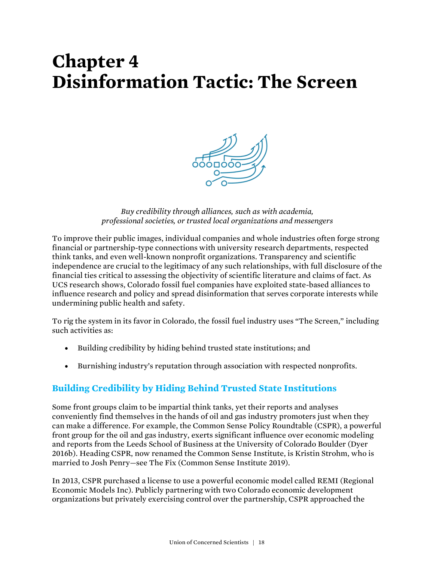## **Chapter 4 Disinformation Tactic: The Screen**



*Buy credibility through alliances, such as with academia, professional societies, or trusted local organizations and messengers*

To improve their public images, individual companies and whole industries often forge strong financial or partnership-type connections with university research departments, respected think tanks, and even well-known nonprofit organizations. Transparency and scientific independence are crucial to the legitimacy of any such relationships, with full disclosure of the financial ties critical to assessing the objectivity of scientific literature and claims of fact. As UCS research shows, Colorado fossil fuel companies have exploited state-based alliances to influence research and policy and spread disinformation that serves corporate interests while undermining public health and safety.

To rig the system in its favor in Colorado, the fossil fuel industry uses "The Screen," including such activities as:

- Building credibility by hiding behind trusted state institutions; and
- Burnishing industry's reputation through association with respected nonprofits.

### **Building Credibility by Hiding Behind Trusted State Institutions**

Some front groups claim to be impartial think tanks, yet their reports and analyses conveniently find themselves in the hands of oil and gas industry promoters just when they can make a difference. For example, the Common Sense Policy Roundtable (CSPR), a powerful front group for the oil and gas industry, exerts significant influence over economic modeling and reports from the Leeds School of Business at the University of Colorado Boulder (Dyer 2016b). Heading CSPR, now renamed the Common Sense Institute, is Kristin Strohm, who is married to Josh Penry—see The Fix (Common Sense Institute 2019).

In 2013, CSPR purchased a license to use a powerful economic model called REMI (Regional Economic Models Inc). Publicly partnering with two Colorado economic development organizations but privately exercising control over the partnership, CSPR approached the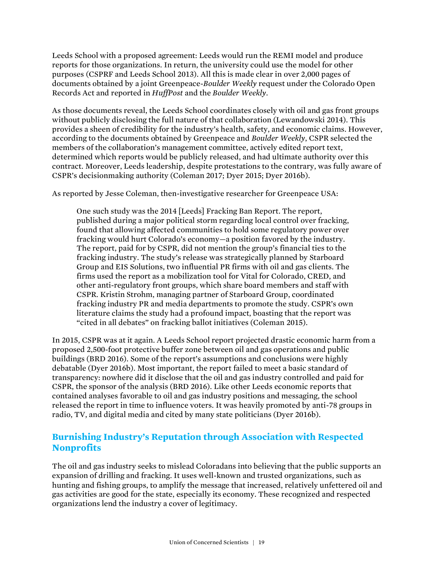Leeds School with a proposed agreement: Leeds would run the REMI model and produce reports for those organizations. In return, the university could use the model for other purposes (CSPRF and Leeds School 2013). All this is made clear in over 2,000 pages of documents obtained by a joint Greenpeace-*Boulder Weekly* request under the Colorado Open Records Act and reported in *HuffPost* and the *Boulder Weekly*.

As those documents reveal, the Leeds School coordinates closely with oil and gas front groups without publicly disclosing the full nature of that collaboration (Lewandowski 2014). This provides a sheen of credibility for the industry's health, safety, and economic claims. However, according to the documents obtained by Greenpeace and *Boulder Weekly*, CSPR selected the members of the collaboration's management committee, actively edited report text, determined which reports would be publicly released, and had ultimate authority over this contract. Moreover, Leeds leadership, despite protestations to the contrary, was fully aware of CSPR's decisionmaking authority (Coleman 2017; Dyer 2015; Dyer 2016b).

As reported by Jesse Coleman, then-investigative researcher for Greenpeace USA:

One such study was the 2014 [Leeds] Fracking Ban Report. The report, published during a major political storm regarding local control over fracking, found that allowing affected communities to hold some regulatory power over fracking would hurt Colorado's economy—a position favored by the industry. The report, paid for by CSPR, did not mention the group's financial ties to the fracking industry. The study's release was strategically planned by Starboard Group and EIS Solutions, two influential PR firms with oil and gas clients. The firms used the report as a mobilization tool for Vital for Colorado, CRED, and other anti-regulatory front groups, which share board members and staff with CSPR. Kristin Strohm, managing partner of Starboard Group, coordinated fracking industry PR and media departments to promote the study. CSPR's own literature claims the study had a profound impact, boasting that the report was "cited in all debates" on fracking ballot initiatives (Coleman 2015).

In 2015, CSPR was at it again. A Leeds School report projected drastic economic harm from a proposed 2,500-foot protective buffer zone between oil and gas operations and public buildings (BRD 2016). Some of the report's assumptions and conclusions were highly debatable (Dyer 2016b). Most important, the report failed to meet a basic standard of transparency: nowhere did it disclose that the oil and gas industry controlled and paid for CSPR, the sponsor of the analysis (BRD 2016). Like other Leeds economic reports that contained analyses favorable to oil and gas industry positions and messaging, the school released the report in time to influence voters. It was heavily promoted by anti-78 groups in radio, TV, and digital media and cited by many state politicians (Dyer 2016b).

### **Burnishing Industry's Reputation through Association with Respected Nonprofits**

The oil and gas industry seeks to mislead Coloradans into believing that the public supports an expansion of drilling and fracking. It uses well-known and trusted organizations, such as hunting and fishing groups, to amplify the message that increased, relatively unfettered oil and gas activities are good for the state, especially its economy. These recognized and respected organizations lend the industry a cover of legitimacy.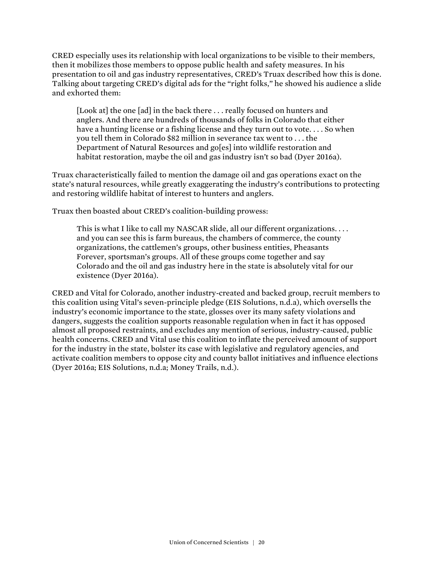CRED especially uses its relationship with local organizations to be visible to their members, then it mobilizes those members to oppose public health and safety measures. In his presentation to oil and gas industry representatives, CRED's Truax described how this is done. Talking about targeting CRED's digital ads for the "right folks," he showed his audience a slide and exhorted them:

[Look at] the one [ad] in the back there ... really focused on hunters and anglers. And there are hundreds of thousands of folks in Colorado that either have a hunting license or a fishing license and they turn out to vote. . . . So when you tell them in Colorado \$82 million in severance tax went to . . . the Department of Natural Resources and go[es] into wildlife restoration and habitat restoration, maybe the oil and gas industry isn't so bad (Dyer 2016a).

Truax characteristically failed to mention the damage oil and gas operations exact on the state's natural resources, while greatly exaggerating the industry's contributions to protecting and restoring wildlife habitat of interest to hunters and anglers.

Truax then boasted about CRED's coalition-building prowess:

This is what I like to call my NASCAR slide, all our different organizations. . . . and you can see this is farm bureaus, the chambers of commerce, the county organizations, the cattlemen's groups, other business entities, Pheasants Forever, sportsman's groups. All of these groups come together and say Colorado and the oil and gas industry here in the state is absolutely vital for our existence (Dyer 2016a).

CRED and Vital for Colorado, another industry-created and backed group, recruit members to this coalition using Vital's seven-principle pledge (EIS Solutions, n.d.a), which oversells the industry's economic importance to the state, glosses over its many safety violations and dangers, suggests the coalition supports reasonable regulation when in fact it has opposed almost all proposed restraints, and excludes any mention of serious, industry-caused, public health concerns. CRED and Vital use this coalition to inflate the perceived amount of support for the industry in the state, bolster its case with legislative and regulatory agencies, and activate coalition members to oppose city and county ballot initiatives and influence elections (Dyer 2016a; EIS Solutions, n.d.a; Money Trails, n.d.).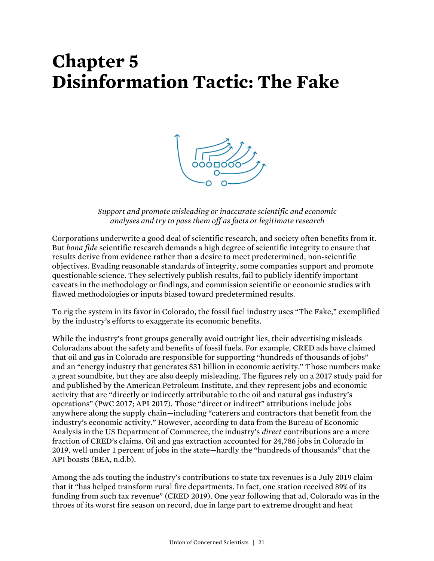## **Chapter 5 Disinformation Tactic: The Fake**



*Support and promote misleading or inaccurate scientific and economic analyses and try to pass them off as facts or legitimate research*

Corporations underwrite a good deal of scientific research, and society often benefits from it. But *bona fide* scientific research demands a high degree of scientific integrity to ensure that results derive from evidence rather than a desire to meet predetermined, non-scientific objectives. Evading reasonable standards of integrity, some companies support and promote questionable science. They selectively publish results, fail to publicly identify important caveats in the methodology or findings, and commission scientific or economic studies with flawed methodologies or inputs biased toward predetermined results.

To rig the system in its favor in Colorado, the fossil fuel industry uses "The Fake," exemplified by the industry's efforts to exaggerate its economic benefits.

While the industry's front groups generally avoid outright lies, their advertising misleads Coloradans about the safety and benefits of fossil fuels. For example, CRED ads have claimed that oil and gas in Colorado are responsible for supporting "hundreds of thousands of jobs" and an "energy industry that generates \$31 billion in economic activity." Those numbers make a great soundbite, but they are also deeply misleading. The figures rely on a 2017 study paid for and published by the American Petroleum Institute, and they represent jobs and economic activity that are "directly or indirectly attributable to the oil and natural gas industry's operations" (PwC 2017; API 2017). Those "direct or indirect" attributions include jobs anywhere along the supply chain—including "caterers and contractors that benefit from the industry's economic activity." However, according to data from the Bureau of Economic Analysis in the US Department of Commerce, the industry's *direct* contributions are a mere fraction of CRED's claims. Oil and gas extraction accounted for 24,786 jobs in Colorado in 2019, well under 1 percent of jobs in the state—hardly the "hundreds of thousands" that the API boasts (BEA, n.d.b).

Among the ads touting the industry's contributions to state tax revenues is a July 2019 claim that it "has helped transform rural fire departments. In fact, one station received 89% of its funding from such tax revenue" (CRED 2019). One year following that ad, Colorado was in the throes of its worst fire season on record, due in large part to extreme drought and heat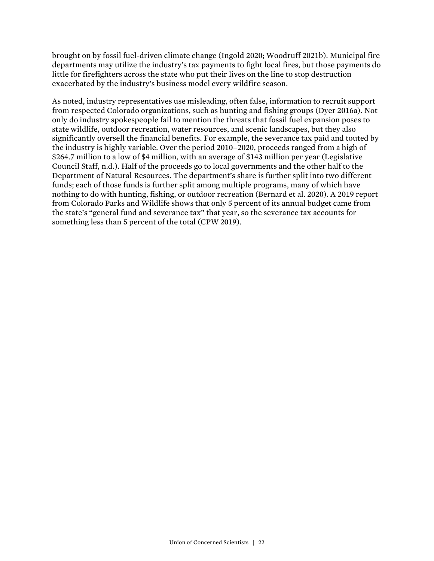brought on by fossil fuel-driven climate change (Ingold 2020; Woodruff 2021b). Municipal fire departments may utilize the industry's tax payments to fight local fires, but those payments do little for firefighters across the state who put their lives on the line to stop destruction exacerbated by the industry's business model every wildfire season.

As noted, industry representatives use misleading, often false, information to recruit support from respected Colorado organizations, such as hunting and fishing groups (Dyer 2016a). Not only do industry spokespeople fail to mention the threats that fossil fuel expansion poses to state wildlife, outdoor recreation, water resources, and scenic landscapes, but they also significantly oversell the financial benefits. For example, the severance tax paid and touted by the industry is highly variable. Over the period 2010–2020, proceeds ranged from a high of \$264.7 million to a low of \$4 million, with an average of \$143 million per year (Legislative Council Staff, n.d.). Half of the proceeds go to local governments and the other half to the Department of Natural Resources. The department's share is further split into two different funds; each of those funds is further split among multiple programs, many of which have nothing to do with hunting, fishing, or outdoor recreation (Bernard et al. 2020). A 2019 report from Colorado Parks and Wildlife shows that only 5 percent of its annual budget came from the state's "general fund and severance tax" that year, so the severance tax accounts for something less than 5 percent of the total (CPW 2019).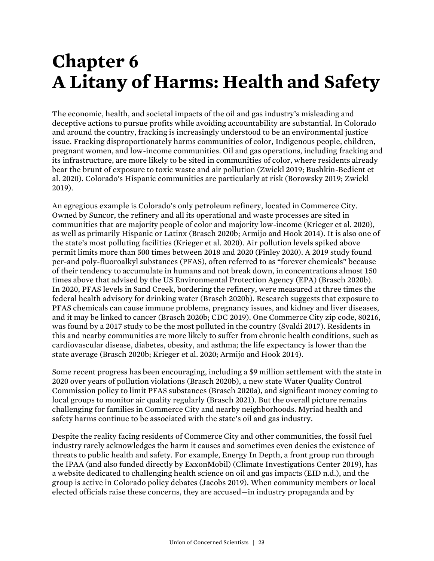# **Chapter 6 A Litany of Harms: Health and Safety**

The economic, health, and societal impacts of the oil and gas industry's misleading and deceptive actions to pursue profits while avoiding accountability are substantial. In Colorado and around the country, fracking is increasingly understood to be an environmental justice issue. Fracking disproportionately harms communities of color, Indigenous people, children, pregnant women, and low-income communities. Oil and gas operations, including fracking and its infrastructure, are more likely to be sited in communities of color, where residents already bear the brunt of exposure to toxic waste and air pollution (Zwickl 2019; Bushkin-Bedient et al. 2020). Colorado's Hispanic communities are particularly at risk (Borowsky 2019; Zwickl 2019).

An egregious example is Colorado's only petroleum refinery, located in Commerce City. Owned by Suncor, the refinery and all its operational and waste processes are sited in communities that are majority people of color and majority low-income (Krieger et al. 2020), as well as primarily Hispanic or Latinx (Brasch 2020b; Armijo and Hook 2014). It is also one of the state's most polluting facilities (Krieger et al. 2020). Air pollution levels spiked above permit limits more than 500 times between 2018 and 2020 (Finley 2020). A 2019 study found per-and poly-fluoroalkyl substances (PFAS), often referred to as "forever chemicals" because of their tendency to accumulate in humans and not break down, in concentrations almost 150 times above that advised by the US Environmental Protection Agency (EPA) (Brasch 2020b). In 2020, PFAS levels in Sand Creek, bordering the refinery, were measured at three times the federal health advisory for drinking water (Brasch 2020b). Research suggests that exposure to PFAS chemicals can cause immune problems, pregnancy issues, and kidney and liver diseases, and it may be linked to cancer (Brasch 2020b; CDC 2019). One Commerce City zip code, 80216, was found by a 2017 study to be the most polluted in the country (Svaldi 2017). Residents in this and nearby communities are more likely to suffer from chronic health conditions, such as cardiovascular disease, diabetes, obesity, and asthma; the life expectancy is lower than the state average (Brasch 2020b; Krieger et al. 2020; Armijo and Hook 2014).

Some recent progress has been encouraging, including a \$9 million settlement with the state in 2020 over years of pollution violations (Brasch 2020b), a new state Water Quality Control Commission policy to limit PFAS substances (Brasch 2020a), and significant money coming to local groups to monitor air quality regularly (Brasch 2021). But the overall picture remains challenging for families in Commerce City and nearby neighborhoods. Myriad health and safety harms continue to be associated with the state's oil and gas industry.

Despite the reality facing residents of Commerce City and other communities, the fossil fuel industry rarely acknowledges the harm it causes and sometimes even denies the existence of threats to public health and safety. For example, Energy In Depth, a front group run through the IPAA (and also funded directly by ExxonMobil) (Climate Investigations Center 2019), has a website dedicated to challenging health science on oil and gas impacts (EID n.d.), and the group is active in Colorado policy debates (Jacobs 2019). When community members or local elected officials raise these concerns, they are accused—in industry propaganda and by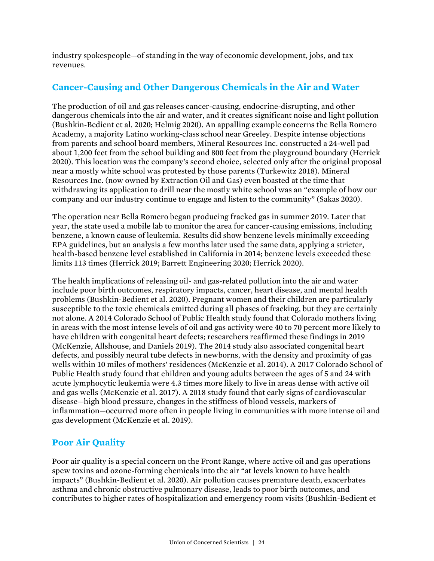industry spokespeople—of standing in the way of economic development, jobs, and tax revenues.

#### **Cancer-Causing and Other Dangerous Chemicals in the Air and Water**

The production of oil and gas releases cancer-causing, endocrine-disrupting, and other dangerous chemicals into the air and water, and it creates significant noise and light pollution (Bushkin-Bedient et al. 2020; Helmig 2020). An appalling example concerns the Bella Romero Academy, a majority Latino working-class school near Greeley. Despite intense objections from parents and school board members, Mineral Resources Inc. constructed a 24-well pad about 1,200 feet from the school building and 800 feet from the playground boundary (Herrick 2020). This location was the company's second choice, selected only after the original proposal near a mostly white school was protested by those parents (Turkewitz 2018). Mineral Resources Inc. (now owned by Extraction Oil and Gas) even boasted at the time that withdrawing its application to drill near the mostly white school was an "example of how our company and our industry continue to engage and listen to the community" (Sakas 2020).

The operation near Bella Romero began producing fracked gas in summer 2019. Later that year, the state used a mobile lab to monitor the area for cancer-causing emissions, including benzene, a known cause of leukemia. Results did show benzene levels minimally exceeding EPA guidelines, but an analysis a few months later used the same data, applying a stricter, health-based benzene level established in California in 2014; benzene levels exceeded these limits 113 times (Herrick 2019; Barrett Engineering 2020; Herrick 2020).

The health implications of releasing oil- and gas-related pollution into the air and water include poor birth outcomes, respiratory impacts, cancer, heart disease, and mental health problems (Bushkin-Bedient et al. 2020). Pregnant women and their children are particularly susceptible to the toxic chemicals emitted during all phases of fracking, but they are certainly not alone. A 2014 Colorado School of Public Health study found that Colorado mothers living in areas with the most intense levels of oil and gas activity were 40 to 70 percent more likely to have children with congenital heart defects; researchers reaffirmed these findings in 2019 (McKenzie, Allshouse, and Daniels 2019). The 2014 study also associated congenital heart defects, and possibly neural tube defects in newborns, with the density and proximity of gas wells within 10 miles of mothers' residences (McKenzie et al. 2014). A 2017 Colorado School of Public Health study found that children and young adults between the ages of 5 and 24 with acute lymphocytic leukemia were 4.3 times more likely to live in areas dense with active oil and gas wells (McKenzie et al. 2017). A 2018 study found that early signs of cardiovascular disease—high blood pressure, changes in the stiffness of blood vessels, markers of inflammation—occurred more often in people living in communities with more intense oil and gas development (McKenzie et al. 2019).

### **Poor Air Quality**

Poor air quality is a special concern on the Front Range, where active oil and gas operations spew toxins and ozone-forming chemicals into the air "at levels known to have health impacts" (Bushkin-Bedient et al. 2020). Air pollution causes premature death, exacerbates asthma and chronic obstructive pulmonary disease, leads to poor birth outcomes, and contributes to higher rates of hospitalization and emergency room visits (Bushkin-Bedient et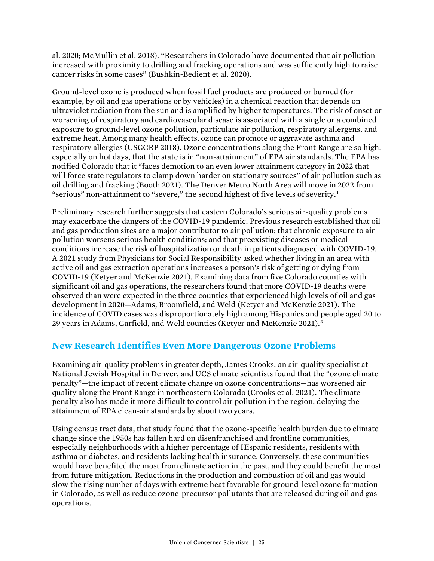al. 2020; McMullin et al. 2018). "Researchers in Colorado have documented that air pollution increased with proximity to drilling and fracking operations and was sufficiently high to raise cancer risks in some cases" (Bushkin-Bedient et al. 2020).

Ground-level ozone is produced when fossil fuel products are produced or burned (for example, by oil and gas operations or by vehicles) in a chemical reaction that depends on ultraviolet radiation from the sun and is amplified by higher temperatures. The risk of onset or worsening of respiratory and cardiovascular disease is associated with a single or a combined exposure to ground-level ozone pollution, particulate air pollution, respiratory allergens, and extreme heat. Among many health effects, ozone can promote or aggravate asthma and respiratory allergies (USGCRP 2018). Ozone concentrations along the Front Range are so high, especially on hot days, that the state is in "non-attainment" of EPA air standards. The EPA has notified Colorado that it "faces demotion to an even lower attainment category in 2022 that will force state regulators to clamp down harder on stationary sources" of air pollution such as oil drilling and fracking (Booth 2021). The Denver Metro North Area will move in 2022 from "serious" non-attainment to "severe," the second highest of five levels of severity.<sup>1</sup>

Preliminary research further suggests that eastern Colorado's serious air-quality problems may exacerbate the dangers of the COVID-19 pandemic. Previous research established that oil and gas production sites are a major contributor to air pollution; that chronic exposure to air pollution worsens serious health conditions; and that preexisting diseases or medical conditions increase the risk of hospitalization or death in patients diagnosed with COVID-19. A 2021 study from Physicians for Social Responsibility asked whether living in an area with active oil and gas extraction operations increases a person's risk of getting or dying from COVID-19 (Ketyer and McKenzie 2021). Examining data from five Colorado counties with significant oil and gas operations, the researchers found that more COVID-19 deaths were observed than were expected in the three counties that experienced high levels of oil and gas development in 2020—Adams, Broomfield, and Weld (Ketyer and McKenzie 2021). The incidence of COVID cases was disproportionately high among Hispanics and people aged 20 to 29 years in Adams, Garfield, and Weld counties (Ketyer and McKenzie 2021).<sup>2</sup>

#### **New Research Identifies Even More Dangerous Ozone Problems**

Examining air-quality problems in greater depth, James Crooks, an air-quality specialist at National Jewish Hospital in Denver, and UCS climate scientists found that the "ozone climate penalty"—the impact of recent climate change on ozone concentrations—has worsened air quality along the Front Range in northeastern Colorado (Crooks et al. 2021). The climate penalty also has made it more difficult to control air pollution in the region, delaying the attainment of EPA clean-air standards by about two years.

Using census tract data, that study found that the ozone-specific health burden due to climate change since the 1950s has fallen hard on disenfranchised and frontline communities, especially neighborhoods with a higher percentage of Hispanic residents, residents with asthma or diabetes, and residents lacking health insurance. Conversely, these communities would have benefited the most from climate action in the past, and they could benefit the most from future mitigation. Reductions in the production and combustion of oil and gas would slow the rising number of days with extreme heat favorable for ground-level ozone formation in Colorado, as well as reduce ozone-precursor pollutants that are released during oil and gas operations.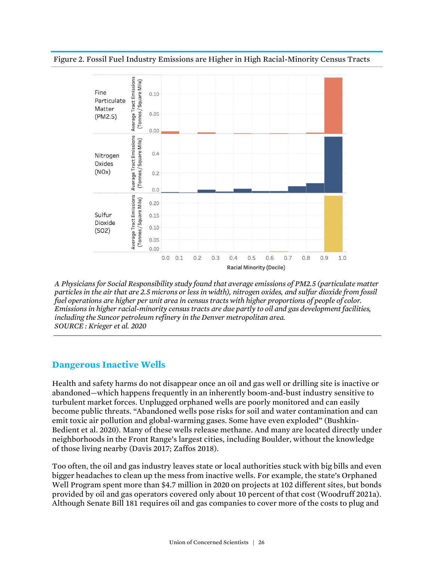#### Figure 2. Fossil Fuel Industry Emissions are Higher in High Racial-Minority Census Tracts



*A Physicians for Social Responsibility study found that average emissions of PM2.5 (particulate matter particles in the air that are 2.5 microns or less in width), nitrogen oxides, and sulfur dioxide from fossil fuel operations are higher per unit area in census tracts with higher proportions of people of color. Emissions in higher racial-minority census tracts are due partly to oil and gas development facilities, including the Suncor petroleum refinery in the Denver metropolitan area. SOURCE : Krieger et al. 2020*

#### **Dangerous Inactive Wells**

Health and safety harms do not disappear once an oil and gas well or drilling site is inactive or abandoned—which happens frequently in an inherently boom-and-bust industry sensitive to turbulent market forces. Unplugged orphaned wells are poorly monitored and can easily become public threats. "Abandoned wells pose risks for soil and water contamination and can emit toxic air pollution and global-warming gases. Some have even exploded" (Bushkin-Bedient et al. 2020). Many of these wells release methane. And many are located directly under neighborhoods in the Front Range's largest cities, including Boulder, without the knowledge of those living nearby (Davis 2017; Zaffos 2018).

Too often, the oil and gas industry leaves state or local authorities stuck with big bills and even bigger headaches to clean up the mess from inactive wells. For example, the state's Orphaned Well Program spent more than \$4.7 million in 2020 on projects at 102 different sites, but bonds provided by oil and gas operators covered only about 10 percent of that cost (Woodruff 2021a). Although Senate Bill 181 requires oil and gas companies to cover more of the costs to plug and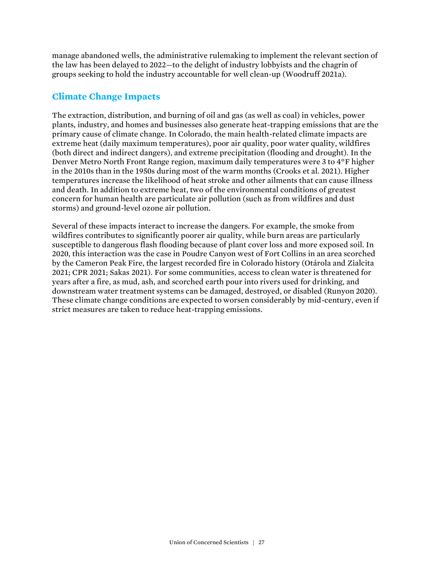manage abandoned wells, the administrative rulemaking to implement the relevant section of the law has been delayed to 2022—to the delight of industry lobbyists and the chagrin of groups seeking to hold the industry accountable for well clean-up (Woodruff 2021a).

### **Climate Change Impacts**

The extraction, distribution, and burning of oil and gas (as well as coal) in vehicles, power plants, industry, and homes and businesses also generate heat-trapping emissions that are the primary cause of climate change. In Colorado, the main health-related climate impacts are extreme heat (daily maximum temperatures), poor air quality, poor water quality, wildfires (both direct and indirect dangers), and extreme precipitation (flooding and drought). In the Denver Metro North Front Range region, maximum daily temperatures were 3 to 4°F higher in the 2010s than in the 1950s during most of the warm months (Crooks et al. 2021). Higher temperatures increase the likelihood of heat stroke and other ailments that can cause illness and death. In addition to extreme heat, two of the environmental conditions of greatest concern for human health are particulate air pollution (such as from wildfires and dust storms) and ground-level ozone air pollution.

Several of these impacts interact to increase the dangers. For example, the smoke from wildfires contributes to significantly poorer air quality, while burn areas are particularly susceptible to dangerous flash flooding because of plant cover loss and more exposed soil. In 2020, this interaction was the case in Poudre Canyon west of Fort Collins in an area scorched by the Cameron Peak Fire, the largest recorded fire in Colorado history (Otárola and Zialcita 2021; CPR 2021; Sakas 2021). For some communities, access to clean water is threatened for years after a fire, as mud, ash, and scorched earth pour into rivers used for drinking, and downstream water treatment systems can be damaged, destroyed, or disabled (Runyon 2020). These climate change conditions are expected to worsen considerably by mid-century, even if strict measures are taken to reduce heat-trapping emissions.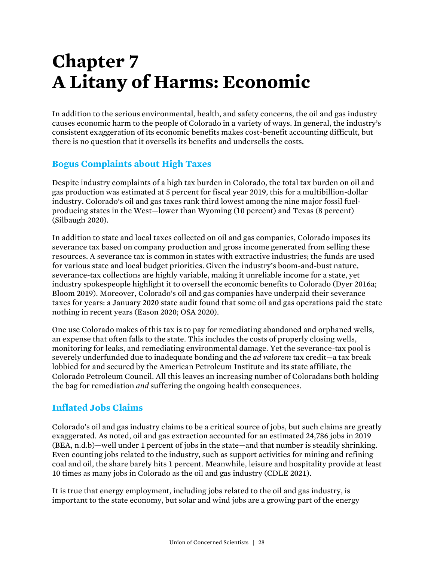# **Chapter 7 A Litany of Harms: Economic**

In addition to the serious environmental, health, and safety concerns, the oil and gas industry causes economic harm to the people of Colorado in a variety of ways. In general, the industry's consistent exaggeration of its economic benefits makes cost-benefit accounting difficult, but there is no question that it oversells its benefits and undersells the costs.

### **Bogus Complaints about High Taxes**

Despite industry complaints of a high tax burden in Colorado, the total tax burden on oil and gas production was estimated at 5 percent for fiscal year 2019, this for a multibillion-dollar industry. Colorado's oil and gas taxes rank third lowest among the nine major fossil fuelproducing states in the West—lower than Wyoming (10 percent) and Texas (8 percent) (Silbaugh 2020).

In addition to state and local taxes collected on oil and gas companies, Colorado imposes its severance tax based on company production and gross income generated from selling these resources. A severance tax is common in states with extractive industries; the funds are used for various state and local budget priorities. Given the industry's boom-and-bust nature, severance-tax collections are highly variable, making it unreliable income for a state, yet industry spokespeople highlight it to oversell the economic benefits to Colorado (Dyer 2016a; Bloom 2019). Moreover, Colorado's oil and gas companies have underpaid their severance taxes for years: a January 2020 state audit found that some oil and gas operations paid the state nothing in recent years (Eason 2020; OSA 2020).

One use Colorado makes of this tax is to pay for remediating abandoned and orphaned wells, an expense that often falls to the state. This includes the costs of properly closing wells, monitoring for leaks, and remediating environmental damage. Yet the severance-tax pool is severely underfunded due to inadequate bonding and the *ad valorem* tax credit—a tax break lobbied for and secured by the American Petroleum Institute and its state affiliate, the Colorado Petroleum Council. All this leaves an increasing number of Coloradans both holding the bag for remediation *and* suffering the ongoing health consequences.

### **Inflated Jobs Claims**

Colorado's oil and gas industry claims to be a critical source of jobs, but such claims are greatly exaggerated. As noted, oil and gas extraction accounted for an estimated 24,786 jobs in 2019 (BEA, n.d.b)—well under 1 percent of jobs in the state—and that number is steadily shrinking. Even counting jobs related to the industry, such as support activities for mining and refining coal and oil, the share barely hits 1 percent. Meanwhile, leisure and hospitality provide at least 10 times as many jobs in Colorado as the oil and gas industry (CDLE 2021).

It is true that energy employment, including jobs related to the oil and gas industry, is important to the state economy, but solar and wind jobs are a growing part of the energy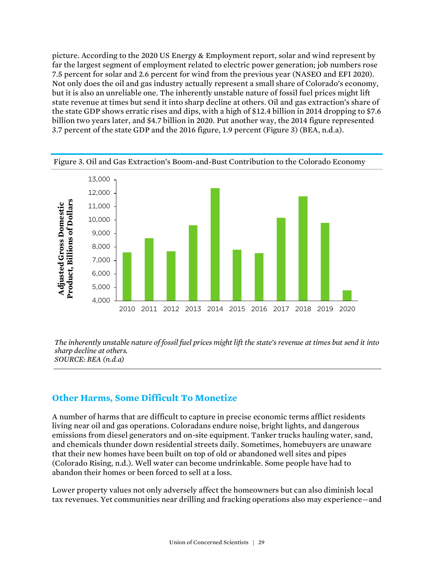picture. According to the 2020 US Energy & Employment report, solar and wind represent by far the largest segment of employment related to electric power generation; job numbers rose 7.5 percent for solar and 2.6 percent for wind from the previous year (NASEO and EFI 2020). Not only does the oil and gas industry actually represent a small share of Colorado's economy, but it is also an unreliable one. The inherently unstable nature of fossil fuel prices might lift state revenue at times but send it into sharp decline at others. Oil and gas extraction's share of the state GDP shows erratic rises and dips, with a high of \$12.4 billion in 2014 dropping to \$7.6 billion two years later, and \$4.7 billion in 2020. Put another way, the 2014 figure represented 3.7 percent of the state GDP and the 2016 figure, 1.9 percent (Figure 3) (BEA, n.d.a).



Figure 3. Oil and Gas Extraction's Boom-and-Bust Contribution to the Colorado Economy

*The inherently unstable nature of fossil fuel prices might lift the state's revenue at times but send it into sharp decline at others. SOURCE: BEA (n.d.a)*

#### **Other Harms, Some Difficult To Monetize**

A number of harms that are difficult to capture in precise economic terms afflict residents living near oil and gas operations. Coloradans endure noise, bright lights, and dangerous emissions from diesel generators and on-site equipment. Tanker trucks hauling water, sand, and chemicals thunder down residential streets daily. Sometimes, homebuyers are unaware that their new homes have been built on top of old or abandoned well sites and pipes (Colorado Rising, n.d.). Well water can become undrinkable. Some people have had to abandon their homes or been forced to sell at a loss.

Lower property values not only adversely affect the homeowners but can also diminish local tax revenues. Yet communities near drilling and fracking operations also may experience—and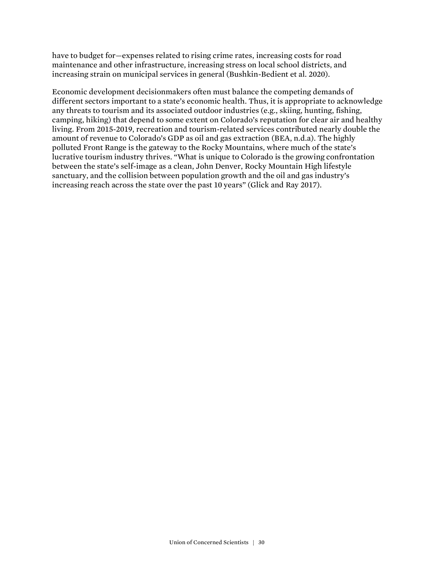have to budget for—expenses related to rising crime rates, increasing costs for road maintenance and other infrastructure, increasing stress on local school districts, and increasing strain on municipal services in general (Bushkin-Bedient et al. 2020).

Economic development decisionmakers often must balance the competing demands of different sectors important to a state's economic health. Thus, it is appropriate to acknowledge any threats to tourism and its associated outdoor industries (e.g., skiing, hunting, fishing, camping, hiking) that depend to some extent on Colorado's reputation for clear air and healthy living. From 2015-2019, recreation and tourism-related services contributed nearly double the amount of revenue to Colorado's GDP as oil and gas extraction (BEA, n.d.a). The highly polluted Front Range is the gateway to the Rocky Mountains, where much of the state's lucrative tourism industry thrives. "What is unique to Colorado is the growing confrontation between the state's self-image as a clean, John Denver, Rocky Mountain High lifestyle sanctuary, and the collision between population growth and the oil and gas industry's increasing reach across the state over the past 10 years" (Glick and Ray 2017).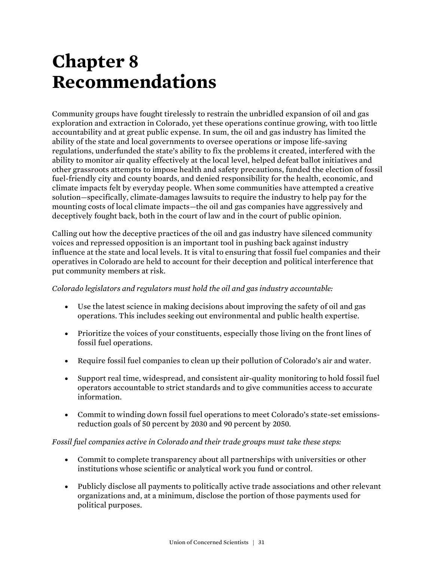# **Chapter 8 Recommendations**

Community groups have fought tirelessly to restrain the unbridled expansion of oil and gas exploration and extraction in Colorado, yet these operations continue growing, with too little accountability and at great public expense. In sum, the oil and gas industry has limited the ability of the state and local governments to oversee operations or impose life-saving regulations, underfunded the state's ability to fix the problems it created, interfered with the ability to monitor air quality effectively at the local level, helped defeat ballot initiatives and other grassroots attempts to impose health and safety precautions, funded the election of fossil fuel-friendly city and county boards, and denied responsibility for the health, economic, and climate impacts felt by everyday people. When some communities have attempted a creative solution—specifically, climate-damages lawsuits to require the industry to help pay for the mounting costs of local climate impacts—the oil and gas companies have aggressively and deceptively fought back, both in the court of law and in the court of public opinion.

Calling out how the deceptive practices of the oil and gas industry have silenced community voices and repressed opposition is an important tool in pushing back against industry influence at the state and local levels. It is vital to ensuring that fossil fuel companies and their operatives in Colorado are held to account for their deception and political interference that put community members at risk.

#### *Colorado legislators and regulators must hold the oil and gas industry accountable:*

- Use the latest science in making decisions about improving the safety of oil and gas operations. This includes seeking out environmental and public health expertise.
- Prioritize the voices of your constituents, especially those living on the front lines of fossil fuel operations.
- Require fossil fuel companies to clean up their pollution of Colorado's air and water.
- Support real time, widespread, and consistent air-quality monitoring to hold fossil fuel operators accountable to strict standards and to give communities access to accurate information.
- Commit to winding down fossil fuel operations to meet Colorado's state-set emissionsreduction goals of 50 percent by 2030 and 90 percent by 2050.

#### *Fossil fuel companies active in Colorado and their trade groups must take these steps:*

- Commit to complete transparency about all partnerships with universities or other institutions whose scientific or analytical work you fund or control.
- Publicly disclose all payments to politically active trade associations and other relevant organizations and, at a minimum, disclose the portion of those payments used for political purposes.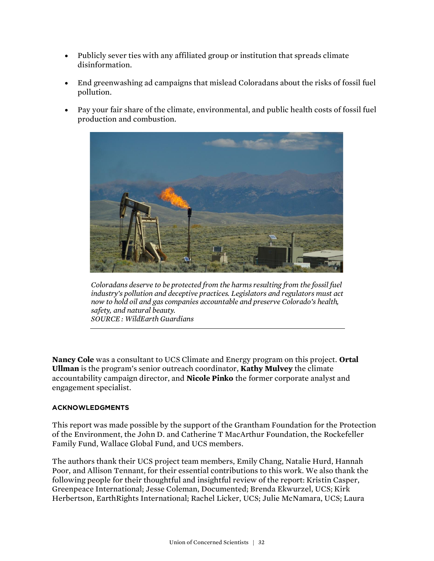- Publicly sever ties with any affiliated group or institution that spreads climate disinformation.
- End greenwashing ad campaigns that mislead Coloradans about the risks of fossil fuel pollution.
- Pay your fair share of the climate, environmental, and public health costs of fossil fuel production and combustion.



*Coloradans deserve to be protected from the harms resulting from the fossil fuel industry's pollution and deceptive practices. Legislators and regulators must act now to hold oil and gas companies accountable and preserve Colorado's health, safety, and natural beauty. SOURCE : WildEarth Guardians*

**Nancy Cole** was a consultant to UCS Climate and Energy program on this project. **Ortal Ullman** is the program's senior outreach coordinator, **Kathy Mulvey** the climate accountability campaign director, and **Nicole Pinko** the former corporate analyst and engagement specialist.

#### **ACKNOWLEDGMENTS**

This report was made possible by the support of the Grantham Foundation for the Protection of the Environment, the John D. and Catherine T MacArthur Foundation, the Rockefeller Family Fund, Wallace Global Fund, and UCS members.

The authors thank their UCS project team members, Emily Chang, Natalie Hurd, Hannah Poor, and Allison Tennant, for their essential contributions to this work. We also thank the following people for their thoughtful and insightful review of the report: Kristin Casper, Greenpeace International; Jesse Coleman, Documented; Brenda Ekwurzel, UCS; Kirk Herbertson, EarthRights International; Rachel Licker, UCS; Julie McNamara, UCS; Laura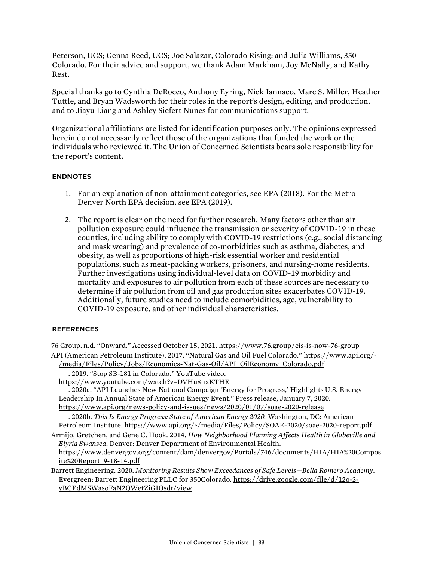Peterson, UCS; Genna Reed, UCS; Joe Salazar, Colorado Rising; and Julia Williams, 350 Colorado. For their advice and support, we thank Adam Markham, Joy McNally, and Kathy Rest.

Special thanks go to Cynthia DeRocco, Anthony Eyring, Nick Iannaco, Marc S. Miller, Heather Tuttle, and Bryan Wadsworth for their roles in the report's design, editing, and production, and to Jiayu Liang and Ashley Siefert Nunes for communications support.

Organizational affiliations are listed for identification purposes only. The opinions expressed herein do not necessarily reflect those of the organizations that funded the work or the individuals who reviewed it. The Union of Concerned Scientists bears sole responsibility for the report's content.

#### **ENDNOTES**

- 1. For an explanation of non-attainment categories, see EPA (2018). For the Metro Denver North EPA decision, see EPA (2019).
- 2. The report is clear on the need for further research. Many factors other than air pollution exposure could influence the transmission or severity of COVID-19 in these counties, including ability to comply with COVID-19 restrictions (e.g., social distancing and mask wearing) and prevalence of co-morbidities such as asthma, diabetes, and obesity, as well as proportions of high-risk essential worker and residential populations, such as meat-packing workers, prisoners, and nursing-home residents. Further investigations using individual-level data on COVID-19 morbidity and mortality and exposures to air pollution from each of these sources are necessary to determine if air pollution from oil and gas production sites exacerbates COVID-19. Additionally, future studies need to include comorbidities, age, vulnerability to COVID-19 exposure, and other individual characteristics.

#### **REFERENCES**

76 Group. n.d. "Onward." Accessed October 15, 2021. <https://www.76.group/eis-is-now-76-group> API (American Petroleum Institute). 2017. "Natural Gas and Oil Fuel Colorado." [https://www.api.org/-](https://www.api.org/-/media/Files/Policy/Jobs/Economics-Nat-Gas-Oil/API_OilEconomy_Colorado.pdf) [/media/Files/Policy/Jobs/Economics-Nat-Gas-Oil/API\\_OilEconomy\\_Colorado.pdf](https://www.api.org/-/media/Files/Policy/Jobs/Economics-Nat-Gas-Oil/API_OilEconomy_Colorado.pdf)

- ———. 2019. "Stop SB-181 in Colorado." YouTube video.
- <https://www.youtube.com/watch?v=DVHu8nxKTHE>
- ———. 2020a. "API Launches New National Campaign 'Energy for Progress,' Highlights U.S. Energy Leadership In Annual State of American Energy Event." Press release, January 7, 2020. <https://www.api.org/news-policy-and-issues/news/2020/01/07/soae-2020-release>
- ———. 2020b. *This Is Energy Progress: State of American Energy 2020.* Washington, DC: American Petroleum Institute[. https://www.api.org/~/media/Files/Policy/SOAE-2020/soae-2020-report.pdf](https://www.api.org/~/media/Files/Policy/SOAE-2020/soae-2020-report.pdf)
- Armijo, Gretchen, and Gene C. Hook. 2014. *How Neighborhood Planning Affects Health in Globeville and Elyria Swansea*. Denver: Denver Department of Environmental Health. [https://www.denvergov.org/content/dam/denvergov/Portals/746/documents/HIA/HIA%20Compos](https://www.denvergov.org/content/dam/denvergov/Portals/746/documents/HIA/HIA%20Composite%20Report_9-18-14.pdf) [ite%20Report\\_9-18-14.pdf](https://www.denvergov.org/content/dam/denvergov/Portals/746/documents/HIA/HIA%20Composite%20Report_9-18-14.pdf)
- Barrett Engineering. 2020. *Monitoring Results Show Exceedances of Safe Levels—Bella Romero Academy*. Evergreen: Barrett Engineering PLLC for 350Colorado[. https://drive.google.com/file/d/12o-2](https://drive.google.com/file/d/12o-2-vBCEdMSWasoFaN2QWetZiGIOsdt/view) [vBCEdMSWasoFaN2QWetZiGIOsdt/view](https://drive.google.com/file/d/12o-2-vBCEdMSWasoFaN2QWetZiGIOsdt/view)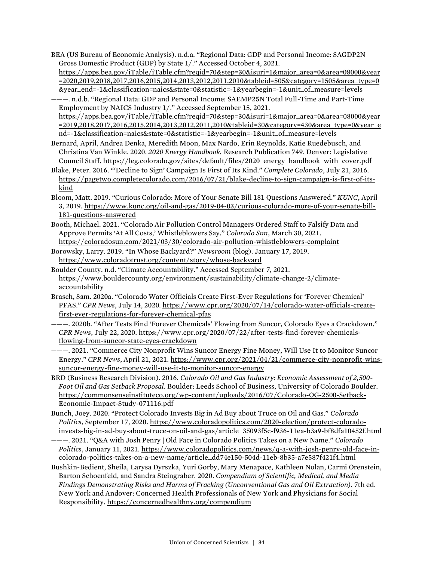BEA (US Bureau of Economic Analysis). n.d.a. "Regional Data: GDP and Personal Income: SAGDP2N Gross Domestic Product (GDP) by State 1/." Accessed October 4, 2021. [https://apps.bea.gov/iTable/iTable.cfm?reqid=70&step=30&isuri=1&major\\_area=0&area=08000&year](https://apps.bea.gov/iTable/iTable.cfm?reqid=70&step=30&isuri=1&major_area=0&area=08000&year=2020,2019,2018,2017,2016,2015,2014,2013,2012,2011,2010&tableid=505&category=1505&area_type=0&year_end=-1&classification=naics&state=0&statistic=-1&yearbegin=-1&unit_of_measure=levels) [=2020,2019,2018,2017,2016,2015,2014,2013,2012,2011,2010&tableid=505&category=1505&area\\_type=0](https://apps.bea.gov/iTable/iTable.cfm?reqid=70&step=30&isuri=1&major_area=0&area=08000&year=2020,2019,2018,2017,2016,2015,2014,2013,2012,2011,2010&tableid=505&category=1505&area_type=0&year_end=-1&classification=naics&state=0&statistic=-1&yearbegin=-1&unit_of_measure=levels) [&year\\_end=-1&classification=naics&state=0&statistic=-1&yearbegin=-1&unit\\_of\\_measure=levels](https://apps.bea.gov/iTable/iTable.cfm?reqid=70&step=30&isuri=1&major_area=0&area=08000&year=2020,2019,2018,2017,2016,2015,2014,2013,2012,2011,2010&tableid=505&category=1505&area_type=0&year_end=-1&classification=naics&state=0&statistic=-1&yearbegin=-1&unit_of_measure=levels)

———. n.d.b. "Regional Data: GDP and Personal Income: SAEMP25N Total Full-Time and Part-Time Employment by NAICS Industry 1/." Accessed September 15, 2021. [https://apps.bea.gov/iTable/iTable.cfm?reqid=70&step=30&isuri=1&major\\_area=0&area=08000&year](https://apps.bea.gov/iTable/iTable.cfm?reqid=70&step=30&isuri=1&major_area=0&area=08000&year=2019,2018,2017,2016,2015,2014,2013,2012,2011,2010&tableid=30&category=430&area_type=0&year_end=-1&classification=naics&state=0&statistic=-1&yearbegin=-1&unit_of_measure=levels) [=2019,2018,2017,2016,2015,2014,2013,2012,2011,2010&tableid=30&category=430&area\\_type=0&year\\_e](https://apps.bea.gov/iTable/iTable.cfm?reqid=70&step=30&isuri=1&major_area=0&area=08000&year=2019,2018,2017,2016,2015,2014,2013,2012,2011,2010&tableid=30&category=430&area_type=0&year_end=-1&classification=naics&state=0&statistic=-1&yearbegin=-1&unit_of_measure=levels) [nd=-1&classification=naics&state=0&statistic=-1&yearbegin=-1&unit\\_of\\_measure=levels](https://apps.bea.gov/iTable/iTable.cfm?reqid=70&step=30&isuri=1&major_area=0&area=08000&year=2019,2018,2017,2016,2015,2014,2013,2012,2011,2010&tableid=30&category=430&area_type=0&year_end=-1&classification=naics&state=0&statistic=-1&yearbegin=-1&unit_of_measure=levels)

- Bernard, April, Andrea Denka, Meredith Moon, Max Nardo, Erin Reynolds, Katie Ruedebusch, and Christina Van Winkle. 2020. *2020 Energy Handbook.* Research Publication 749. Denver: Legislative Council Staff[. https://leg.colorado.gov/sites/default/files/2020\\_energy\\_handbook\\_with\\_cover.pdf](https://leg.colorado.gov/sites/default/files/2020_energy_handbook_with_cover.pdf )
- Blake, Peter. 2016. "'Decline to Sign' Campaign Is First of Its Kind." *Complete Colorado*, July 21, 2016. [https://pagetwo.completecolorado.com/2016/07/21/blake-decline-to-sign-campaign-is-first-of-its](https://pagetwo.completecolorado.com/2016/07/21/blake-decline-to-sign-campaign-is-first-of-its-kind)[kind](https://pagetwo.completecolorado.com/2016/07/21/blake-decline-to-sign-campaign-is-first-of-its-kind)
- Bloom, Matt. 2019. "Curious Colorado: More of Your Senate Bill 181 Questions Answered." *KUNC*, April 3, 2019[. https://www.kunc.org/oil-and-gas/2019-04-03/curious-colorado-more-of-your-senate-bill-](https://www.kunc.org/oil-and-gas/2019-04-03/curious-colorado-more-of-your-senate-bill-181-questions-answered)[181-questions-answered](https://www.kunc.org/oil-and-gas/2019-04-03/curious-colorado-more-of-your-senate-bill-181-questions-answered)
- Booth, Michael. 2021. "Colorado Air Pollution Control Managers Ordered Staff to Falsify Data and Approve Permits 'At All Costs,' Whistleblowers Say." *Colorado Sun*, March 30, 2021. <https://coloradosun.com/2021/03/30/colorado-air-pollution-whistleblowers-complaint>
- Borowsky, Larry. 2019. "In Whose Backyard?" *Newsroom* (blog). January 17, 2019. <https://www.coloradotrust.org/content/story/whose-backyard>
- Boulder County. n.d. "Climate Accountability." Accessed September 7, 2021. https://www.bouldercounty.org/environment/sustainability/climate-change-2/climateaccountability
- Brasch, Sam. 2020a. "Colorado Water Officials Create First-Ever Regulations for 'Forever Chemical' PFAS." *CPR News*, July 14, 2020. [https://www.cpr.org/2020/07/14/colorado-water-officials-create](https://www.cpr.org/2020/07/14/colorado-water-officials-create-first-ever-regulations-for-forever-chemical-pfas)[first-ever-regulations-for-forever-chemical-pfas](https://www.cpr.org/2020/07/14/colorado-water-officials-create-first-ever-regulations-for-forever-chemical-pfas)
- ———. 2020b. "After Tests Find 'Forever Chemicals' Flowing from Suncor, Colorado Eyes a Crackdown." *CPR News*, July 22, 2020[. https://www.cpr.org/2020/07/22/after-tests-find-forever-chemicals](https://www.cpr.org/2020/07/22/after-tests-find-forever-chemicals-flowing-from-suncor-state-eyes-crackdown)[flowing-from-suncor-state-eyes-crackdown](https://www.cpr.org/2020/07/22/after-tests-find-forever-chemicals-flowing-from-suncor-state-eyes-crackdown)
- ———. 2021. "Commerce City Nonprofit Wins Suncor Energy Fine Money, Will Use It to Monitor Suncor Energy." *CPR News*, April 21, 2021[. https://www.cpr.org/2021/04/21/commerce-city-nonprofit-wins](https://www.cpr.org/2021/04/21/commerce-city-nonprofit-wins-suncor-energy-fine-money-will-use-it-to-monitor-suncor-energy)[suncor-energy-fine-money-will-use-it-to-monitor-suncor-energy](https://www.cpr.org/2021/04/21/commerce-city-nonprofit-wins-suncor-energy-fine-money-will-use-it-to-monitor-suncor-energy)
- BRD (Business Research Division). 2016. *Colorado Oil and Gas Industry: Economic Assessment of 2,500- Foot Oil and Gas Setback Proposal*. Boulder: Leeds School of Business, University of Colorado Boulder. [https://commonsenseinstituteco.org/wp-content/uploads/2016/07/Colorado-OG-2500-Setback-](https://commonsenseinstituteco.org/wp-content/uploads/2016/07/Colorado-OG-2500-Setback-Economic-Impact-Study-071116.pdf)[Economic-Impact-Study-071116.pdf](https://commonsenseinstituteco.org/wp-content/uploads/2016/07/Colorado-OG-2500-Setback-Economic-Impact-Study-071116.pdf)
- Bunch, Joey. 2020. "Protect Colorado Invests Big in Ad Buy about Truce on Oil and Gas." *Colorado Politics*, September 17, 2020[. https://www.coloradopolitics.com/2020-election/protect-colorado](https://www.coloradopolitics.com/2020-election/protect-colorado-invests-big-in-ad-buy-about-truce-on-oil-and-gas/article_35093f5c-f936-11ea-b3a9-bf8dfa10452f.html)[invests-big-in-ad-buy-about-truce-on-oil-and-gas/article\\_35093f5c-f936-11ea-b3a9-bf8dfa10452f.html](https://www.coloradopolitics.com/2020-election/protect-colorado-invests-big-in-ad-buy-about-truce-on-oil-and-gas/article_35093f5c-f936-11ea-b3a9-bf8dfa10452f.html)
- ———. 2021. "Q&A with Josh Penry | Old Face in Colorado Politics Takes on a New Name." *Colorado Politics*, January 11, 2021[. https://www.coloradopolitics.com/news/q-a-with-josh-penry-old-face-in](https://www.coloradopolitics.com/news/q-a-with-josh-penry-old-face-in-colorado-politics-takes-on-a-new-name/article_dd74e150-504d-11eb-8b35-a7e587f421f4.html)[colorado-politics-takes-on-a-new-name/article\\_dd74e150-504d-11eb-8b35-a7e587f421f4.html](https://www.coloradopolitics.com/news/q-a-with-josh-penry-old-face-in-colorado-politics-takes-on-a-new-name/article_dd74e150-504d-11eb-8b35-a7e587f421f4.html)
- Bushkin-Bedient, Sheila, Larysa Dyrszka, Yuri Gorby, Mary Menapace, Kathleen Nolan, Carmi Orenstein, Barton Schoenfeld, and Sandra Steingraber. 2020. *Compendium of Scientific, Medical, and Media Findings Demonstrating Risks and Harms of Fracking (Unconventional Gas and Oil Extraction)*. 7th ed. New York and Andover: Concerned Health Professionals of New York and Physicians for Social Responsibility[. https://concernedhealthny.org/compendium](https://concernedhealthny.org/compendium)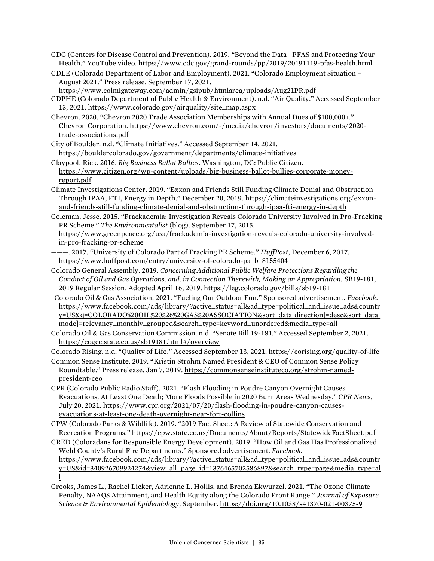- CDC (Centers for Disease Control and Prevention). 2019. "Beyond the Data—PFAS and Protecting Your Health." YouTube video[. https://www.cdc.gov/grand-rounds/pp/2019/20191119-pfas-health.html](https://www.cdc.gov/grand-rounds/pp/2019/20191119-pfas-health.html)
- CDLE (Colorado Department of Labor and Employment). 2021. "Colorado Employment Situation August 2021." Press release, September 17, 2021.

<https://www.colmigateway.com/admin/gsipub/htmlarea/uploads/Aug21PR.pdf>

- CDPHE (Colorado Department of Public Health & Environment). n.d. "Air Quality." Accessed September 13, 2021. [https://www.colorado.gov/airquality/site\\_map.aspx](https://www.colorado.gov/airquality/site_map.aspx)
- Chevron. 2020. "Chevron 2020 Trade Association Memberships with Annual Dues of \$100,000+." Chevron Corporation. [https://www.chevron.com/-/media/chevron/investors/documents/2020](https://www.chevron.com/-/media/chevron/investors/documents/2020-trade-associations.pdf) [trade-associations.pdf](https://www.chevron.com/-/media/chevron/investors/documents/2020-trade-associations.pdf)
- City of Boulder. n.d. "Climate Initiatives." Accessed September 14, 2021. <https://bouldercolorado.gov/government/departments/climate-initiatives>
- Claypool, Rick. 2016. *Big Business Ballot Bullies*. Washington, DC: Public Citizen. [https://www.citizen.org/wp-content/uploads/big-business-ballot-bullies-corporate-money](https://www.citizen.org/wp-content/uploads/big-business-ballot-bullies-corporate-money-report.pdf)[report.pdf](https://www.citizen.org/wp-content/uploads/big-business-ballot-bullies-corporate-money-report.pdf)
- Climate Investigations Center. 2019. "Exxon and Friends Still Funding Climate Denial and Obstruction Through IPAA, FTI, Energy in Depth." December 20, 2019. [https://climateinvestigations.org/exxon](https://climateinvestigations.org/exxon-and-friends-still-funding-climate-denial-and-obstruction-through-ipaa-fti-energy-in-depth/)[and-friends-still-funding-climate-denial-and-obstruction-through-ipaa-fti-energy-in-depth](https://climateinvestigations.org/exxon-and-friends-still-funding-climate-denial-and-obstruction-through-ipaa-fti-energy-in-depth/)
- Coleman, Jesse. 2015. "Frackademia: Investigation Reveals Colorado University Involved in Pro-Fracking PR Scheme." *The Environmentalist* (blog). September 17, 2015.

[https://www.greenpeace.org/usa/frackademia-investigation-reveals-colorado-university-involved](https://www.greenpeace.org/usa/frackademia-investigation-reveals-colorado-university-involved-in-pro-fracking-pr-scheme/)[in-pro-fracking-pr-scheme](https://www.greenpeace.org/usa/frackademia-investigation-reveals-colorado-university-involved-in-pro-fracking-pr-scheme/)

- ———. 2017. "University of Colorado Part of Fracking PR Scheme." *HuffPost*, December 6, 2017. [https://www.huffpost.com/entry/university-of-colorado-pa\\_b\\_8155404](https://www.huffpost.com/entry/university-of-colorado-pa_b_8155404)
- Colorado General Assembly. 2019. *Concerning Additional Public Welfare Protections Regarding the Conduct of Oil and Gas Operations, and, in Connection Therewith, Making an Appropriation.* SB19-181, 2019 Regular Session. Adopted April 16, 2019[. https://leg.colorado.gov/bills/sb19-181](https://leg.colorado.gov/bills/sb19-181)
- Colorado Oil & Gas Association. 2021. "Fueling Our Outdoor Fun." Sponsored advertisement. *Facebook*. https://www.facebook.com/ads/library/?active\_status=all&ad\_type=political\_and\_issue\_ads&countr y=US&q=COLORADO%20OIL%20%26%20GAS%20ASSOCIATION&sort\_data[direction]=desc&sort\_data[ mode]=relevancy\_monthly\_grouped&search\_type=keyword\_unordered&media\_type=all
- Colorado Oil & Gas Conservation Commission. n.d. "Senate Bill 19-181." Accessed September 2, 2021. [https://cogcc.state.co.us/sb19181.html#/overview](https://cogcc.state.co.us/sb19181.html%23/overview)

Colorado Rising. n.d. "Quality of Life." Accessed September 13, 2021. <https://corising.org/quality-of-life>

- Common Sense Institute. 2019. "Kristin Strohm Named President & CEO of Common Sense Policy Roundtable." Press release, Jan 7, 2019[. https://commonsenseinstituteco.org/strohm-named](https://commonsenseinstituteco.org/strohm-named-president-ceo/)[president-ceo](https://commonsenseinstituteco.org/strohm-named-president-ceo/)
- CPR (Colorado Public Radio Staff). 2021. "Flash Flooding in Poudre Canyon Overnight Causes Evacuations, At Least One Death; More Floods Possible in 2020 Burn Areas Wednesday." *CPR News*, July 20, 2021[. https://www.cpr.org/2021/07/20/flash-flooding-in-poudre-canyon-causes](https://www.cpr.org/2021/07/20/flash-flooding-in-poudre-canyon-causes-evacuations-at-least-one-death-overnight-near-fort-collins)[evacuations-at-least-one-death-overnight-near-fort-collins](https://www.cpr.org/2021/07/20/flash-flooding-in-poudre-canyon-causes-evacuations-at-least-one-death-overnight-near-fort-collins)
- CPW (Colorado Parks & Wildlife). 2019. "2019 Fact Sheet: A Review of Statewide Conservation and Recreation Programs." <https://cpw.state.co.us/Documents/About/Reports/StatewideFactSheet.pdf>
- CRED (Coloradans for Responsible Energy Development). 2019. "How Oil and Gas Has Professionalized Weld County's Rural Fire Departments." Sponsored advertisement. *Facebook*. [https://www.facebook.com/ads/library/?active\\_status=all&ad\\_type=political\\_and\\_issue\\_ads&countr](https://www.facebook.com/ads/library/?active_status=all&ad_type=political_and_issue_ads&country=US&id=340926709924274&view_all_page_id=1376465702586897&search_type=page&media_type=all) [y=US&id=340926709924274&view\\_all\\_page\\_id=1376465702586897&search\\_type=page&media\\_type=al](https://www.facebook.com/ads/library/?active_status=all&ad_type=political_and_issue_ads&country=US&id=340926709924274&view_all_page_id=1376465702586897&search_type=page&media_type=all) [l](https://www.facebook.com/ads/library/?active_status=all&ad_type=political_and_issue_ads&country=US&id=340926709924274&view_all_page_id=1376465702586897&search_type=page&media_type=all)
- Crooks, James L., Rachel Licker, Adrienne L. Hollis, and Brenda Ekwurzel. 2021. "The Ozone Climate Penalty, NAAQS Attainment, and Health Equity along the Colorado Front Range." *Journal of Exposure Science & Environmental Epidemiology*, September[. https://doi.org/10.1038/s41370-021-00375-9](https://doi.org/10.1038/s41370-021-00375-9)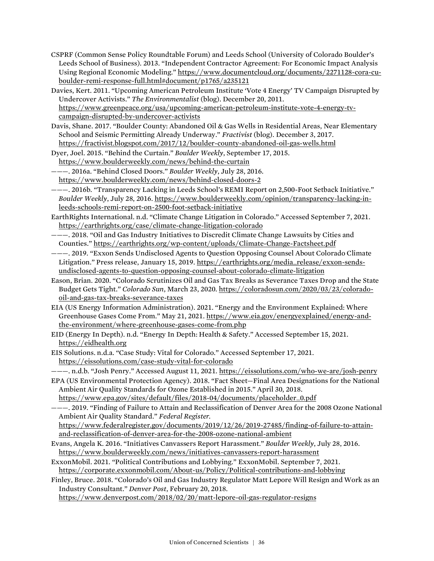- CSPRF (Common Sense Policy Roundtable Forum) and Leeds School (University of Colorado Boulder's Leeds School of Business). 2013. "Independent Contractor Agreement: For Economic Impact Analysis Using Regional Economic Modeling." [https://www.documentcloud.org/documents/2271128-cora-cu](https://www.documentcloud.org/documents/2271128-cora-cu-boulder-remi-response-full.html#document/p1765/a235121)[boulder-remi-response-full.html#document/p1765/a235121](https://www.documentcloud.org/documents/2271128-cora-cu-boulder-remi-response-full.html#document/p1765/a235121)
- Davies, Kert. 2011. "Upcoming American Petroleum Institute 'Vote 4 Energy' TV Campaign Disrupted by Undercover Activists." *The Environmentalist* (blog). December 20, 2011. [https://www.greenpeace.org/usa/upcoming-american-petroleum-institute-vote-4-energy-tv](https://www.greenpeace.org/usa/upcoming-american-petroleum-institute-vote-4-energy-tv-campaign-disrupted-by-undercover-activists)[campaign-disrupted-by-undercover-activists](https://www.greenpeace.org/usa/upcoming-american-petroleum-institute-vote-4-energy-tv-campaign-disrupted-by-undercover-activists)
- Davis, Shane. 2017. "Boulder County: Abandoned Oil & Gas Wells in Residential Areas, Near Elementary School and Seismic Permitting Already Underway." *Fractivist* (blog). December 3, 2017. <https://fractivist.blogspot.com/2017/12/boulder-county-abandoned-oil-gas-wells.html>
- Dyer, Joel. 2015. "Behind the Curtain." *Boulder Weekly*, September 17, 2015. <https://www.boulderweekly.com/news/behind-the-curtain>
- ———. 2016a. "Behind Closed Doors." *Boulder Weekly*, July 28, 2016. <https://www.boulderweekly.com/news/behind-closed-doors-2>
- ———. 2016b. "Transparency Lacking in Leeds School's REMI Report on 2,500-Foot Setback Initiative." *Boulder Weekly*, July 28, 2016[. https://www.boulderweekly.com/opinion/transparency-lacking-in](https://www.boulderweekly.com/opinion/transparency-lacking-in-leeds-schools-remi-report-on-2500-foot-setback-initiative)[leeds-schools-remi-report-on-2500-foot-setback-initiative](https://www.boulderweekly.com/opinion/transparency-lacking-in-leeds-schools-remi-report-on-2500-foot-setback-initiative)
- EarthRights International. n.d. "Climate Change Litigation in Colorado." Accessed September 7, 2021. <https://earthrights.org/case/climate-change-litigation-colorado>
- ———. 2018. "Oil and Gas Industry Initiatives to Discredit Climate Change Lawsuits by Cities and Counties." <https://earthrights.org/wp-content/uploads/Climate-Change-Factsheet.pdf>
- ———. 2019. "Exxon Sends Undisclosed Agents to Question Opposing Counsel About Colorado Climate Litigation." Press release, January 15, 2019. [https://earthrights.org/media\\_release/exxon-sends](https://earthrights.org/media_release/exxon-sends-undisclosed-agents-to-question-opposing-counsel-about-colorado-climate-litigation)[undisclosed-agents-to-question-opposing-counsel-about-colorado-climate-litigation](https://earthrights.org/media_release/exxon-sends-undisclosed-agents-to-question-opposing-counsel-about-colorado-climate-litigation)
- Eason, Brian. 2020. "Colorado Scrutinizes Oil and Gas Tax Breaks as Severance Taxes Drop and the State Budget Gets Tight." *Colorado Sun*, March 23, 2020[. https://coloradosun.com/2020/03/23/colorado](https://coloradosun.com/2020/03/23/colorado-oil-and-gas-tax-breaks-severance-taxes)[oil-and-gas-tax-breaks-severance-taxes](https://coloradosun.com/2020/03/23/colorado-oil-and-gas-tax-breaks-severance-taxes)
- EIA (US Energy Information Administration). 2021. "Energy and the Environment Explained: Where Greenhouse Gases Come From." May 21, 2021. [https://www.eia.gov/energyexplained/energy-and](https://www.eia.gov/energyexplained/energy-and-the-environment/where-greenhouse-gases-come-from.php)[the-environment/where-greenhouse-gases-come-from.php](https://www.eia.gov/energyexplained/energy-and-the-environment/where-greenhouse-gases-come-from.php)
- EID (Energy In Depth). n.d. "Energy In Depth: Health & Safety." Accessed September 15, 2021. [https://eidhealth.org](https://eidhealth.org/)
- EIS Solutions. n.d.a. "Case Study: Vital for Colorado." Accessed September 17, 2021. <https://eissolutions.com/case-study-vital-for-colorado>
- ———. n.d.b. "Josh Penry." Accessed August 11, 2021. <https://eissolutions.com/who-we-are/josh-penry> EPA (US Environmental Protection Agency). 2018. "Fact Sheet—Final Area Designations for the National
- Ambient Air Quality Standards for Ozone Established in 2015." April 30, 2018. [https://www.epa.gov/sites/default/files/2018-04/documents/placeholder\\_0.pdf](https://www.epa.gov/sites/default/files/2018-04/documents/placeholder_0.pdf)
- ———. 2019. "Finding of Failure to Attain and Reclassification of Denver Area for the 2008 Ozone National Ambient Air Quality Standard." *Federal Register.*
	- [https://www.federalregister.gov/documents/2019/12/26/2019-27485/finding-of-failure-to-attain](https://www.federalregister.gov/documents/2019/12/26/2019-27485/finding-of-failure-to-attain-and-reclassification-of-denver-area-for-the-2008-ozone-national-ambient)[and-reclassification-of-denver-area-for-the-2008-ozone-national-ambient](https://www.federalregister.gov/documents/2019/12/26/2019-27485/finding-of-failure-to-attain-and-reclassification-of-denver-area-for-the-2008-ozone-national-ambient)
- Evans, Angela K. 2016. "Initiatives Canvassers Report Harassment." *Boulder Weekly*, July 28, 2016. <https://www.boulderweekly.com/news/initiatives-canvassers-report-harassment>
- ExxonMobil. 2021. "Political Contributions and Lobbying." ExxonMobil. September 7, 2021. <https://corporate.exxonmobil.com/About-us/Policy/Political-contributions-and-lobbying>
- Finley, Bruce. 2018. "Colorado's Oil and Gas Industry Regulator Matt Lepore Will Resign and Work as an Industry Consultant." *Denver Post*, February 20, 2018.

<https://www.denverpost.com/2018/02/20/matt-lepore-oil-gas-regulator-resigns>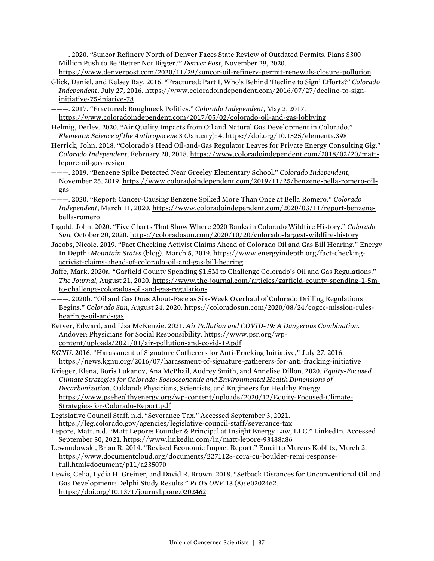———. 2020. "Suncor Refinery North of Denver Faces State Review of Outdated Permits, Plans \$300 Million Push to Be 'Better Not Bigger.'" *Denver Post*, November 29, 2020.

<https://www.denverpost.com/2020/11/29/suncor-oil-refinery-permit-renewals-closure-pollution>

- Glick, Daniel, and Kelsey Ray. 2016. "Fractured: Part I, Who's Behind 'Decline to Sign' Efforts?" *Colorado Independent*, July 27, 2016[. https://www.coloradoindependent.com/2016/07/27/decline-to-sign](https://www.coloradoindependent.com/2016/07/27/decline-to-sign-initiative-75-iniative-78)[initiative-75-iniative-78](https://www.coloradoindependent.com/2016/07/27/decline-to-sign-initiative-75-iniative-78)
- ———. 2017. "Fractured: Roughneck Politics." *Colorado Independent*, May 2, 2017. <https://www.coloradoindependent.com/2017/05/02/colorado-oil-and-gas-lobbying>
- Helmig, Detlev. 2020. "Air Quality Impacts from Oil and Natural Gas Development in Colorado." *Elementa: Science of the Anthropocene* 8 (January): 4[. https://doi.org/10.1525/elementa.398](https://doi.org/10.1525/elementa.398)
- Herrick, John. 2018. "Colorado's Head Oil-and-Gas Regulator Leaves for Private Energy Consulting Gig." *Colorado Independent*, February 20, 2018. [https://www.coloradoindependent.com/2018/02/20/matt](https://www.coloradoindependent.com/2018/02/20/matt-lepore-oil-gas-resign)[lepore-oil-gas-resign](https://www.coloradoindependent.com/2018/02/20/matt-lepore-oil-gas-resign)
- ———. 2019. "Benzene Spike Detected Near Greeley Elementary School." *Colorado Independent*, November 25, 2019[. https://www.coloradoindependent.com/2019/11/25/benzene-bella-romero-oil](https://www.coloradoindependent.com/2019/11/25/benzene-bella-romero-oil-gas)[gas](https://www.coloradoindependent.com/2019/11/25/benzene-bella-romero-oil-gas)
- ———. 2020. "Report: Cancer-Causing Benzene Spiked More Than Once at Bella Romero." *Colorado Independent*, March 11, 2020[. https://www.coloradoindependent.com/2020/03/11/report-benzene](https://www.coloradoindependent.com/2020/03/11/report-benzene-bella-romero)[bella-romero](https://www.coloradoindependent.com/2020/03/11/report-benzene-bella-romero)
- Ingold, John. 2020. "Five Charts That Show Where 2020 Ranks in Colorado Wildfire History." *Colorado Sun,* October 20, 2020[. https://coloradosun.com/2020/10/20/colorado-largest-wildfire-history](https://coloradosun.com/2020/10/20/colorado-largest-wildfire-history/)
- Jacobs, Nicole. 2019. "Fact Checking Activist Claims Ahead of Colorado Oil and Gas Bill Hearing." Energy In Depth: *Mountain States* (blog). March 5, 2019. [https://www.energyindepth.org/fact-checking](https://www.energyindepth.org/fact-checking-activist-claims-ahead-of-colorado-oil-and-gas-bill-hearing)[activist-claims-ahead-of-colorado-oil-and-gas-bill-hearing](https://www.energyindepth.org/fact-checking-activist-claims-ahead-of-colorado-oil-and-gas-bill-hearing)
- Jaffe, Mark. 2020a. "Garfield County Spending \$1.5M to Challenge Colorado's Oil and Gas Regulations." *The Journal*, August 21, 2020. [https://www.the-journal.com/articles/garfield-county-spending-1-5m](https://www.the-journal.com/articles/garfield-county-spending-1-5m-to-challenge-colorados-oil-and-gas-regulations)[to-challenge-colorados-oil-and-gas-regulations](https://www.the-journal.com/articles/garfield-county-spending-1-5m-to-challenge-colorados-oil-and-gas-regulations)
- ———. 2020b. "Oil and Gas Does About-Face as Six-Week Overhaul of Colorado Drilling Regulations Begins." *Colorado Sun*, August 24, 2020[. https://coloradosun.com/2020/08/24/cogcc-mission-rules](https://coloradosun.com/2020/08/24/cogcc-mission-rules-hearings-oil-and-gas)[hearings-oil-and-gas](https://coloradosun.com/2020/08/24/cogcc-mission-rules-hearings-oil-and-gas)
- Ketyer, Edward, and Lisa McKenzie. 2021. *Air Pollution and COVID-19: A Dangerous Combination*. Andover: Physicians for Social Responsibility. [https://www.psr.org/wp](https://www.psr.org/wp-content/uploads/2021/01/air-pollution-and-covid-19.pdf)[content/uploads/2021/01/air-pollution-and-covid-19.pdf](https://www.psr.org/wp-content/uploads/2021/01/air-pollution-and-covid-19.pdf)
- *KGNU*. 2016. "Harassment of Signature Gatherers for Anti-Fracking Initiative," July 27, 2016. <https://news.kgnu.org/2016/07/harassment-of-signature-gatherers-for-anti-fracking-initiative>
- Krieger, Elena, Boris Lukanov, Ana McPhail, Audrey Smith, and Annelise Dillon. 2020. *Equity-Focused Climate Strategies for Colorado: Socioeconomic and Environmental Health Dimensions of Decarbonization*. Oakland: Physicians, Scientists, and Engineers for Healthy Energy. [https://www.psehealthyenergy.org/wp-content/uploads/2020/12/Equity-Focused-Climate-](https://www.psehealthyenergy.org/wp-content/uploads/2020/12/Equity-Focused-Climate-Strategies-for-Colorado-Report.pdf)[Strategies-for-Colorado-Report.pdf](https://www.psehealthyenergy.org/wp-content/uploads/2020/12/Equity-Focused-Climate-Strategies-for-Colorado-Report.pdf)
- Legislative Council Staff. n.d. "Severance Tax." Accessed September 3, 2021. <https://leg.colorado.gov/agencies/legislative-council-staff/severance-tax>
- Lepore, Matt. n.d. "Matt Lepore: Founder & Principal at Insight Energy Law, LLC." LinkedIn. Accessed September 30, 2021. [https://www.linkedin.com/in/matt-lepore-93488a86](https://www.linkedin.com/in/matt-lepore-93488a86/)
- Lewandowski, Brian R. 2014. "Revised Economic Impact Report." Email to Marcus Koblitz, March 2. [https://www.documentcloud.org/documents/2271128-cora-cu-boulder-remi-response](https://www.documentcloud.org/documents/2271128-cora-cu-boulder-remi-response-full.html%23document/p11/a235070)[full.html#document/p11/a235070](https://www.documentcloud.org/documents/2271128-cora-cu-boulder-remi-response-full.html%23document/p11/a235070)
- Lewis, Celia, Lydia H. Greiner, and David R. Brown. 2018. "Setback Distances for Unconventional Oil and Gas Development: Delphi Study Results." *PLOS ONE* 13 (8): e0202462. <https://doi.org/10.1371/journal.pone.0202462>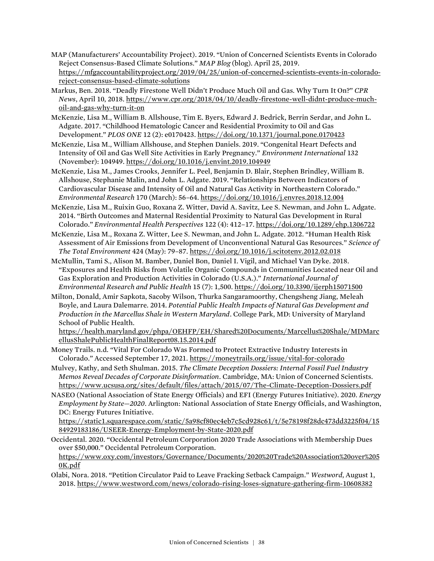- MAP (Manufacturers' Accountability Project). 2019. "Union of Concerned Scientists Events in Colorado Reject Consensus-Based Climate Solutions." *MAP Blog* (blog). April 25, 2019. [https://mfgaccountabilityproject.org/2019/04/25/union-of-concerned-scientists-events-in-colorado](https://mfgaccountabilityproject.org/2019/04/25/union-of-concerned-scientists-events-in-colorado-reject-consensus-based-climate-solutions/)[reject-consensus-based-climate-solutions](https://mfgaccountabilityproject.org/2019/04/25/union-of-concerned-scientists-events-in-colorado-reject-consensus-based-climate-solutions/)
- Markus, Ben. 2018. "Deadly Firestone Well Didn't Produce Much Oil and Gas. Why Turn It On?" *CPR News*, April 10, 2018[. https://www.cpr.org/2018/04/10/deadly-firestone-well-didnt-produce-much](https://www.cpr.org/2018/04/10/deadly-firestone-well-didnt-produce-much-oil-and-gas-why-turn-it-on)[oil-and-gas-why-turn-it-on](https://www.cpr.org/2018/04/10/deadly-firestone-well-didnt-produce-much-oil-and-gas-why-turn-it-on)
- McKenzie, Lisa M., William B. Allshouse, Tim E. Byers, Edward J. Bedrick, Berrin Serdar, and John L. Adgate. 2017. "Childhood Hematologic Cancer and Residential Proximity to Oil and Gas Development." *PLOS ONE* 12 (2): e0170423[. https://doi.org/10.1371/journal.pone.0170423](https://doi.org/10.1371/journal.pone.0170423)
- McKenzie, Lisa M., William Allshouse, and Stephen Daniels. 2019. "Congenital Heart Defects and Intensity of Oil and Gas Well Site Activities in Early Pregnancy." *Environment International* 132 (November): 104949.<https://doi.org/10.1016/j.envint.2019.104949>
- McKenzie, Lisa M., James Crooks, Jennifer L. Peel, Benjamin D. Blair, Stephen Brindley, William B. Allshouse, Stephanie Malin, and John L. Adgate. 2019. "Relationships Between Indicators of Cardiovascular Disease and Intensity of Oil and Natural Gas Activity in Northeastern Colorado." *Environmental Research* 170 (March): 56–64.<https://doi.org/10.1016/j.envres.2018.12.004>
- McKenzie, Lisa M., Ruixin Guo, Roxana Z. Witter, David A. Savitz, Lee S. Newman, and John L. Adgate. 2014. "Birth Outcomes and Maternal Residential Proximity to Natural Gas Development in Rural Colorado." *Environmental Health Perspectives* 122 (4): 412–17[. https://doi.org/10.1289/ehp.1306722](https://doi.org/10.1289/ehp.1306722)
- McKenzie, Lisa M., Roxana Z. Witter, Lee S. Newman, and John L. Adgate. 2012. "Human Health Risk Assessment of Air Emissions from Development of Unconventional Natural Gas Resources." *Science of The Total Environment* 424 (May): 79–87[. https://doi.org/10.1016/j.scitotenv.2012.02.018](https://doi.org/10.1016/j.scitotenv.2012.02.018)
- McMullin, Tami S., Alison M. Bamber, Daniel Bon, Daniel I. Vigil, and Michael Van Dyke. 2018. "Exposures and Health Risks from Volatile Organic Compounds in Communities Located near Oil and Gas Exploration and Production Activities in Colorado (U.S.A.)." *International Journal of Environmental Research and Public Health* 15 (7): 1,500[. https://doi.org/10.3390/ijerph15071500](https://doi.org/10.3390/ijerph15071500)
- Milton, Donald, Amir Sapkota, Sacoby Wilson, Thurka Sangaramoorthy, Chengsheng Jiang, Meleah Boyle, and Laura Dalemarre. 2014. *Potential Public Health Impacts of Natural Gas Development and Production in the Marcellus Shale in Western Maryland*. College Park, MD: University of Maryland School of Public Health.

[https://health.maryland.gov/phpa/OEHFP/EH/Shared%20Documents/Marcellus%20Shale/MDMarc](https://health.maryland.gov/phpa/OEHFP/EH/Shared%20Documents/Marcellus%20Shale/MDMarcellusShalePublicHealthFinalReport08.15.2014.pdf) [ellusShalePublicHealthFinalReport08.15.2014.pdf](https://health.maryland.gov/phpa/OEHFP/EH/Shared%20Documents/Marcellus%20Shale/MDMarcellusShalePublicHealthFinalReport08.15.2014.pdf)

- Money Trails. n.d. "Vital For Colorado Was Formed to Protect Extractive Industry Interests in Colorado." Accessed September 17, 2021. [https://moneytrails.org/issue/vital-for-colorado](https://moneytrails.org/issue/vital-for-colorado )
- Mulvey, Kathy, and Seth Shulman. 2015. *The Climate Deception Dossiers: Internal Fossil Fuel Industry Memos Reveal Decades of Corporate Disinformation*. Cambridge, MA: Union of Concerned Scientists. <https://www.ucsusa.org/sites/default/files/attach/2015/07/The-Climate-Deception-Dossiers.pdf>
- NASEO (National Association of State Energy Officials) and EFI (Energy Futures Initiative). 2020. *Energy Employment by State—2020*. Arlington: National Association of State Energy Officials, and Washington, DC: Energy Futures Initiative.

[https://static1.squarespace.com/static/5a98cf80ec4eb7c5cd928c61/t/5e78198f28dc473dd3225f04/15](https://static1.squarespace.com/static/5a98cf80ec4eb7c5cd928c61/t/5e78198f28dc473dd3225f04/1584929183186/USEER-Energy-Employment-by-State-2020.pdf) [84929183186/USEER-Energy-Employment-by-State-2020.pdf](https://static1.squarespace.com/static/5a98cf80ec4eb7c5cd928c61/t/5e78198f28dc473dd3225f04/1584929183186/USEER-Energy-Employment-by-State-2020.pdf)

Occidental. 2020. "Occidental Petroleum Corporation 2020 Trade Associations with Membership Dues over \$50,000." Occidental Petroleum Corporation.

[https://www.oxy.com/investors/Governance/Documents/2020%20Trade%20Association%20over%205](https://www.oxy.com/investors/Governance/Documents/2020%20Trade%20Association%20over%2050K.pdf) [0K.pdf](https://www.oxy.com/investors/Governance/Documents/2020%20Trade%20Association%20over%2050K.pdf)

Olabi, Nora. 2018. "Petition Circulator Paid to Leave Fracking Setback Campaign." *Westword*, August 1, 2018[. https://www.westword.com/news/colorado-rising-loses-signature-gathering-firm-10608382](https://www.westword.com/news/colorado-rising-loses-signature-gathering-firm-10608382)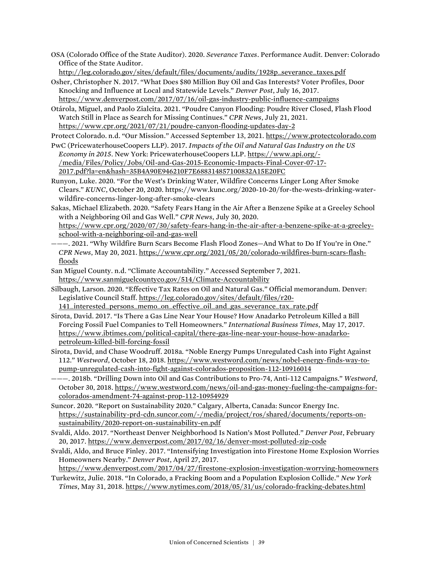OSA (Colorado Office of the State Auditor). 2020. *Severance Taxes*. Performance Audit. Denver: Colorado Office of the State Auditor.

[http://leg.colorado.gov/sites/default/files/documents/audits/1928p\\_severance\\_taxes.pdf](http://leg.colorado.gov/sites/default/files/documents/audits/1928p_severance_taxes.pdf)

- Osher, Christopher N. 2017. "What Does \$80 Million Buy Oil and Gas Interests? Voter Profiles, Door Knocking and Influence at Local and Statewide Levels." *Denver Post*, July 16, 2017.
- <https://www.denverpost.com/2017/07/16/oil-gas-industry-public-influence-campaigns> Otárola, Miguel, and Paolo Zialcita. 2021. "Poudre Canyon Flooding: Poudre River Closed, Flash Flood Watch Still in Place as Search for Missing Continues." *CPR News*, July 21, 2021. <https://www.cpr.org/2021/07/21/poudre-canyon-flooding-updates-day-2>

Protect Colorado. n.d. "Our Mission." Accessed September 13, 2021. [https://www.protectcolorado.com](https://www.protectcolorado.com/)

- PwC (PricewaterhouseCoopers LLP). 2017. *Impacts of the Oil and Natural Gas Industry on the US Economy in 2015*. New York: PricewaterhouseCoopers LLP[. https://www.api.org/-](https://www.api.org/-/media/Files/Policy/Jobs/Oil-and-Gas-2015-Economic-Impacts-Final-Cover-07-17-2017.pdf?la=en&hash=35B4A90E946210F7E688314857100832A15E20FC) [/media/Files/Policy/Jobs/Oil-and-Gas-2015-Economic-Impacts-Final-Cover-07-17-](https://www.api.org/-/media/Files/Policy/Jobs/Oil-and-Gas-2015-Economic-Impacts-Final-Cover-07-17-2017.pdf?la=en&hash=35B4A90E946210F7E688314857100832A15E20FC) [2017.pdf?la=en&hash=35B4A90E946210F7E688314857100832A15E20FC](https://www.api.org/-/media/Files/Policy/Jobs/Oil-and-Gas-2015-Economic-Impacts-Final-Cover-07-17-2017.pdf?la=en&hash=35B4A90E946210F7E688314857100832A15E20FC)
- Runyon, Luke. 2020. "For the West's Drinking Water, Wildfire Concerns Linger Long After Smoke Clears." *KUNC*, October 20, 2020. https://www.kunc.org/2020-10-20/for-the-wests-drinking-waterwildfire-concerns-linger-long-after-smoke-clears
- Sakas, Michael Elizabeth. 2020. "Safety Fears Hang in the Air After a Benzene Spike at a Greeley School with a Neighboring Oil and Gas Well." *CPR News*, July 30, 2020. [https://www.cpr.org/2020/07/30/safety-fears-hang-in-the-air-after-a-benzene-spike-at-a-greeley](https://www.cpr.org/2020/07/30/safety-fears-hang-in-the-air-after-a-benzene-spike-at-a-greeley-school-with-a-neighboring-oil-and-gas-well)[school-with-a-neighboring-oil-and-gas-well](https://www.cpr.org/2020/07/30/safety-fears-hang-in-the-air-after-a-benzene-spike-at-a-greeley-school-with-a-neighboring-oil-and-gas-well)
- ———. 2021. "Why Wildfire Burn Scars Become Flash Flood Zones—And What to Do If You're in One." *CPR News*, May 20, 2021. [https://www.cpr.org/2021/05/20/colorado-wildfires-burn-scars-flash](https://www.cpr.org/2021/05/20/colorado-wildfires-burn-scars-flash-floods)[floods](https://www.cpr.org/2021/05/20/colorado-wildfires-burn-scars-flash-floods)
- San Miguel County. n.d. "Climate Accountability." Accessed September 7, 2021. <https://www.sanmiguelcountyco.gov/514/Climate-Accountability>
- Silbaugh, Larson. 2020. "Effective Tax Rates on Oil and Natural Gas." Official memorandum. Denver: Legislative Council Staff. [https://leg.colorado.gov/sites/default/files/r20-](https://leg.colorado.gov/sites/default/files/r20-141_interested_persons_memo_on_effective_oil_and_gas_severance_tax_rate.pdf)

[141\\_interested\\_persons\\_memo\\_on\\_effective\\_oil\\_and\\_gas\\_severance\\_tax\\_rate.pdf](https://leg.colorado.gov/sites/default/files/r20-141_interested_persons_memo_on_effective_oil_and_gas_severance_tax_rate.pdf)

- Sirota, David. 2017. "Is There a Gas Line Near Your House? How Anadarko Petroleum Killed a Bill Forcing Fossil Fuel Companies to Tell Homeowners." *International Business Times*, May 17, 2017. [https://www.ibtimes.com/political-capital/there-gas-line-near-your-house-how-anadarko](https://www.ibtimes.com/political-capital/there-gas-line-near-your-house-how-anadarko-petroleum-killed-bill-forcing-fossil)[petroleum-killed-bill-forcing-fossil](https://www.ibtimes.com/political-capital/there-gas-line-near-your-house-how-anadarko-petroleum-killed-bill-forcing-fossil)
- Sirota, David, and Chase Woodruff. 2018a. "Noble Energy Pumps Unregulated Cash into Fight Against 112." *Westword*, October 18, 2018[. https://www.westword.com/news/nobel-energy-finds-way-to](https://www.westword.com/news/nobel-energy-finds-way-to-pump-unregulated-cash-into-fight-against-colorados-proposition-112-10916014)[pump-unregulated-cash-into-fight-against-colorados-proposition-112-10916014](https://www.westword.com/news/nobel-energy-finds-way-to-pump-unregulated-cash-into-fight-against-colorados-proposition-112-10916014)
- ———. 2018b. "Drilling Down into Oil and Gas Contributions to Pro-74, Anti-112 Campaigns." *Westword*, October 30, 2018. [https://www.westword.com/news/oil-and-gas-money-fueling-the-campaigns-for](https://www.westword.com/news/oil-and-gas-money-fueling-the-campaigns-for-colorados-amendment-74-against-prop-112-10954929)[colorados-amendment-74-against-prop-112-10954929](https://www.westword.com/news/oil-and-gas-money-fueling-the-campaigns-for-colorados-amendment-74-against-prop-112-10954929)
- Suncor. 2020. "Report on Sustainability 2020." Calgary, Alberta, Canada: Suncor Energy Inc. [https://sustainability-prd-cdn.suncor.com/-/media/project/ros/shared/documents/reports-on](https://sustainability-prd-cdn.suncor.com/-/media/project/ros/shared/documents/reports-on-sustainability/2020-report-on-sustainability-en.pdf)[sustainability/2020-report-on-sustainability-en.pdf](https://sustainability-prd-cdn.suncor.com/-/media/project/ros/shared/documents/reports-on-sustainability/2020-report-on-sustainability-en.pdf)
- Svaldi, Aldo. 2017. "Northeast Denver Neighborhood Is Nation's Most Polluted." *Denver Post*, February 20, 2017.<https://www.denverpost.com/2017/02/16/denver-most-polluted-zip-code>
- Svaldi, Aldo, and Bruce Finley. 2017. "Intensifying Investigation into Firestone Home Explosion Worries Homeowners Nearby." *Denver Post*, April 27, 2017.

<https://www.denverpost.com/2017/04/27/firestone-explosion-investigation-worrying-homeowners>

Turkewitz, Julie. 2018. "In Colorado, a Fracking Boom and a Population Explosion Collide." *New York Times*, May 31, 2018[. https://www.nytimes.com/2018/05/31/us/colorado-fracking-debates.html](https://www.nytimes.com/2018/05/31/us/colorado-fracking-debates.html)